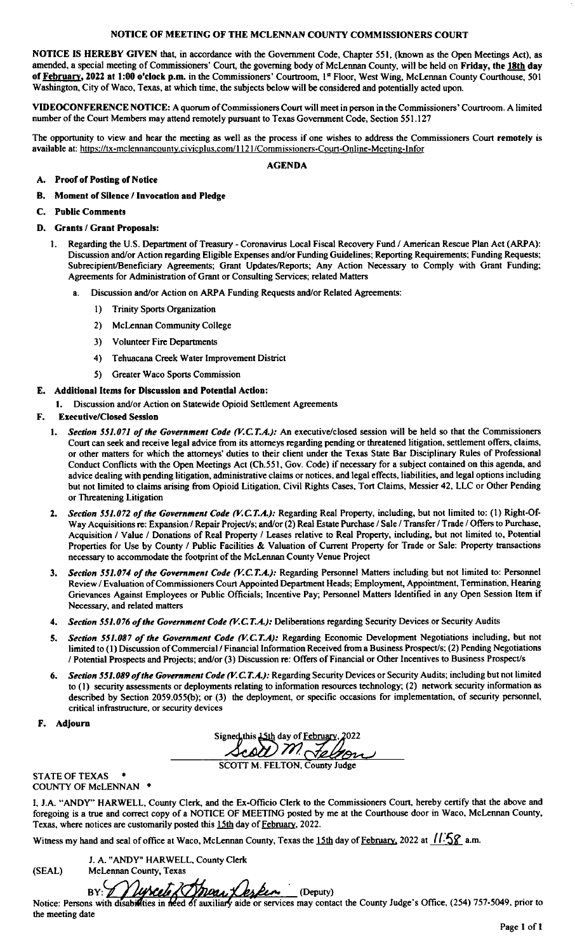NOTICE OF MEETING OF THE MCLENNAN COUNTY COMMISSIONERS COURT<br>NOTICE IS HEREBY GIVEN that, in accordance with the Government Code, Chapter 551, (known as the Open Meetings Act), as NOTICE OF MEETING OF THE MCLENNAN COUNTY COMMISSIONERS COURT<br>
NOTICE IS HEREBY GIVEN that, in accordance with the Government Code, Chapter 551, (known as the Open Meetings Act), as<br>
amended, a special meeting of Commission NOTICE IS HEREBY GIVEN that, in accordance with the Government Code, Chapter 551, (known as the Open Meetings Act), as amended, a special meeting of Commissioners' Court, the governing body of McLennan County, will be held

VIDEOCONFERENCE NOTICE: A quorum of Commissioners Court will meet in person in the Commissionumber of the Court Members may attend remotely pursuant to Texas Government Code, Section 551.127<br>The opportunity to view and hea Washington, City of Waco, Texas, at which time, the subjects below will be considered and potentially acted upon.<br>
VIDEOCONFERENCE NOTICE: A quorum of Commissioners Court will meet in person in the Commissioners' Courtroom

### **AGENDA**

### A. Proof of Posting of Notice

- B. Moment of Silence / Invocation and Pledge
- C. Public Comments

### D. Grants / Grant Proposals:

- 1. Regarding the U.S. Department of Treasury Coronavirus Local Fiscal Recovery Fund / American Rescue Plan Act (ARPA): Discussion and/or Action regarding Eligible Expenses and/or Funding Guidelines; Reporting Requirements; Funding Requests; First Comments<br>Agreements:<br>1) Regarding the U.S. Department of Treasury - Coronavirus Local Fiscal Recovery Fund / American Rescue Plan Act (ARPA):<br>Discussion and/or Action regarding Eligible Expenses and/or Funding Guidel Agreements for Administration of Grant or Consulting Services; related Matters Discussion and/or Action regarding Eligible Expenses and/or Funding Guidelines; Report<br>
ubrecipient/Beneficiary Agreements; Grant Updates/Reports; Any Action Necessar<br>
ugreements for Administration of Grant or Consulting S
	- Discussion and/or Action on ARPA Funding Requests and/or Related Agreements:<br>
	1) Trinity Sports Organization<br>
	2) McLennan Community College<br>
	3) Volunteer Fire Departments
		- 1) Trinity Sports Organization
		-
		- 2. McLennan Community College<br>3. Volunteer Fire Departments<br>4. Tehuacana Creek Water Improv
		- Tehuacana Creek Water Improvement District
		- 5) Greater Waco Sports Commission

### E. Additional Items for Discussion and Potential Action:

E. Additional Items for Discussion and Potential Action:<br>
1. Discussion and/or Action on Statewide Opioid Settlement Agreements<br>
F. Executive/Closed Session

- **Executive/Closed Session**<br>1. Section 551.071 of the Government Code (V.C.T.A.): An executive/closed session will be held so that the Commissioners ditional Items for Discussion and Potential Action:<br>
Discussion and/or Action on Statewide Opioid Settlement Agreements<br>
cecutive/Closed Session<br>
Section 551.071 of the Government Code (V.C.T.A.): An executive/closed sessi or other matters for which the attorneys' duties to their client under the Texas State Bar Disciplinary Rules of Professional Conduct Conflicts with the Open Meetings Act (Ch.551, Gov. Code) if necessary for a subject cont Court can seek and receive legal advice from its attorneys regarding pending or threatened litigation, settlement offers, claims, or other matters for which the attorneys' duties to their client under the Texas State Bar D advice dealing with pending litigation, administrative claims or notices, and legal effects, liabilities, and legal options including<br>but not limited to claims arising from Opioid Litigation, Civil Rights Cases, Tort Claim or Threatening Litigation
- Transfer of Threatening Litigation<br>Transfer of the Government Code (V.C.T.A.): Regarding Real Property, including, but not limited to: (1) Right-Of<br>Way Acquisitions of Expansion (Repair Project/s: and/or (2) Real Estate Pu Section 551.072 of the Government Code (V.C.T.A.): Regarding Real Property, including, but not limited to: (1) Right-Of-<br>Way Acquisitions re: Expansion / Repair Project/s; and/or (2) Real Estate Purchase / Sale / Transfer Section 551.072 of the Government Code (V.C.T.A.): Regarding Real Property, including, but not limited to: (1) Right-Of-Way Acquisitions re: Expansion / Repair Project/s; and/or (2) Real Estate Purchase / Sale / Transfer Properties for Use by County / Public Facilities & Valuation of Current Property for Trade or Sale: Property transactions necessary to accommodate the footprint of the McLennan County Venue Project Contribution / Value / Donations of Real Property / Leases relative to Real Property, including, but not limited to, Potential<br>Properties for Use by County / Public Facilities & Valuation of Current Property for Trade or S
- way Acquisitions ie. Expansion? Nepair Frojects, and/or (2) Near Estate Publise? Sate? Fransict? Fract? Orders to Publise.<br>Acquisition / Value / Donations of Real Property / Leases relative to Real Property, including, but Necessary, and related matters Review / Evaluation of Commissioners Court Appointed Department Heads; Employment, Appointment, Termination Grievances Against Employees or Public Officials; Incentive Pay; Personnel Matters Identified in any Open Sess Nec
- 
- Necessary, and related matters<br>4. Section 551.076 of the Government Code (V.C.T.A.): Deliberations regarding Security Devices or Security Audits<br>5. Section 551.087 of the Government Code (V.C.T.A): Regarding Economic Devel ection 551.087 of the Government Code (V.C.1.A.): Deliberations regarding Security Devices or Security Audits<br>ection 551.087 of the Government Code (V.C.T.A): Regarding Economic Development Negotiations including, bu<br>mited
- 5. Section 551.087 of the Government Code (V.C.T.A): Regarding Economic Development Negotiations including, but not<br>limited to (1) Discussion of Commercial / Financial Information Received from a Business Prospect/s; (2) to (1) security assessments or deployment<br>described by Section 2059.055(b); or (3<br>critical infrastructure, or security devices critical infrastructure, or security devices<br> **F.** Adjourn the process change of the above and foregoing the deployment, or specific occasions is<br>
signed this  $\frac{15 \text{th}}{2000}$  and  $\frac{1}{2000}$  and  $\frac{1}{2000}$

igned this 15th day of <u>February</u>, 2022<br>
<u>Acol M. Telnary</u><br>
SCOTT M. FELTON, County Judge

**STATE OF TEXAS** 

COUNTY OF McLENNAN \*

I, J.A. "ANDY" HARWELL, County Clerk, and the Ex-Officio Clerk to the Commissioners Court, hereby certify that the above and SCOTT M. FELTON, County Judge<br>COUNTY OF McLENNAN \*<br>I, J.A. "ANDY" HARWELL, County Clerk, and the Ex-Officio Clerk to the Commissioners Court, hereby certify that the above and<br>foregoing is a true and correct copy of a NOT I, J.A. "ANDY" HARWELL, County Clerk, and the Ex-Officio Clerk to the Commissioners Court, hereby certify the foregoing is a true and correct copy of a NOTICE OF MEETING posted by me at the Courthouse door in Waco, McTexa

J. A. "ANDY" HARWELL, County Clerk<br>McLennan County, Texas Fexas, where notices are customarily posted<br>Witness my hand and seal of office at Wacc<br>
J. A. "ANDY" HARWELL,<br>
SEAL) McLennan County, Texas

the meeting date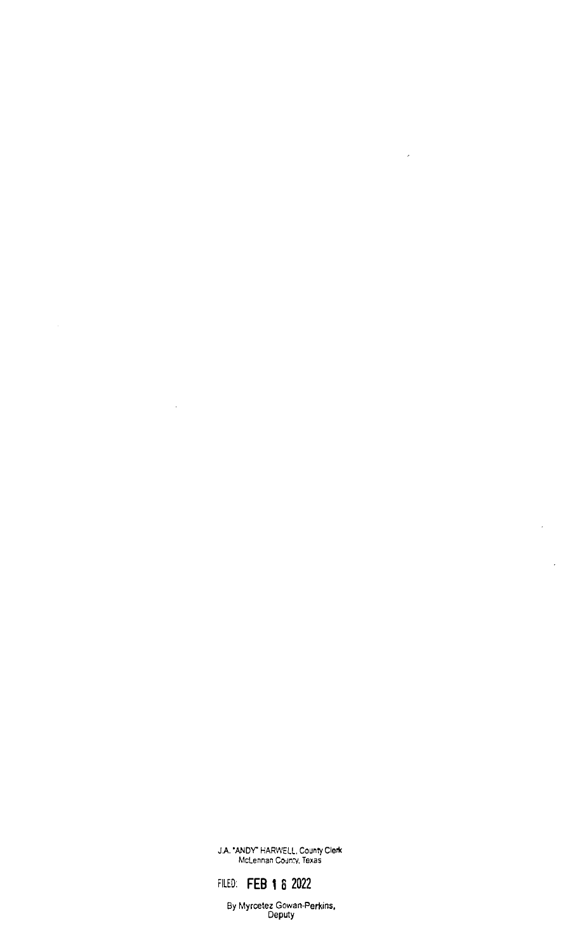JA.' ANDY HARWELL. County Clerk McLennan County, Texas

 $\hat{\mathcal{A}}$ 

FILED: FEB 1 8 2022

 $\sim$ 

By Myrcetez Gowan-Perkins, Deputy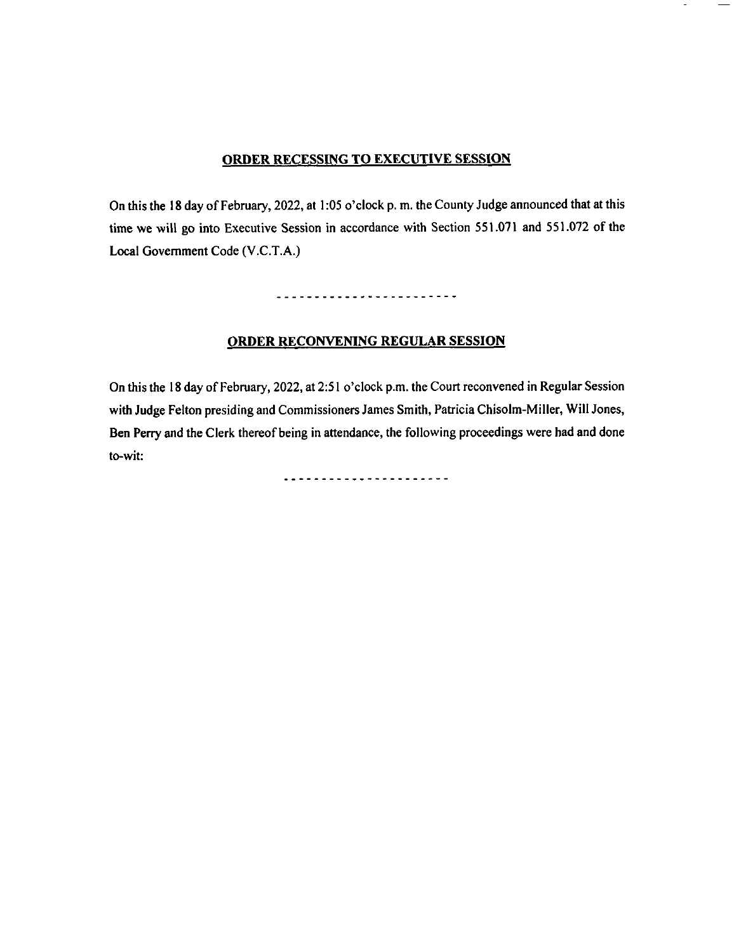# **ORDER RECESSING TO EXECUTIVE SESSION** ORDER RECESSING TO EXECUTIVE SESSION Session with Judge Felton presiding and Commissioners James Smith, Patricia Chisolm- Miller,Will

On this the 18 day of February, 2022, at 1:05 o'clock p. m. the County Judge announced that at this time we will go into Executive Session in accordance with Section 551.071 and 551.072 of the Local Government Code (V.C.T.A.)

------------------------

### **ORDER RECONVENING REGULAR SESSION**

On this the 18 day of February, 2022, at 2:51 o'clock p.m. the Court reconvened in Regular Session with Judge Felton presiding and Commissioners James Smith, Patricia Chisolm-Miller, Will Jones, Ben Perry and the Clerk thereof being in attendance, the following proceedings were had and done to-wit: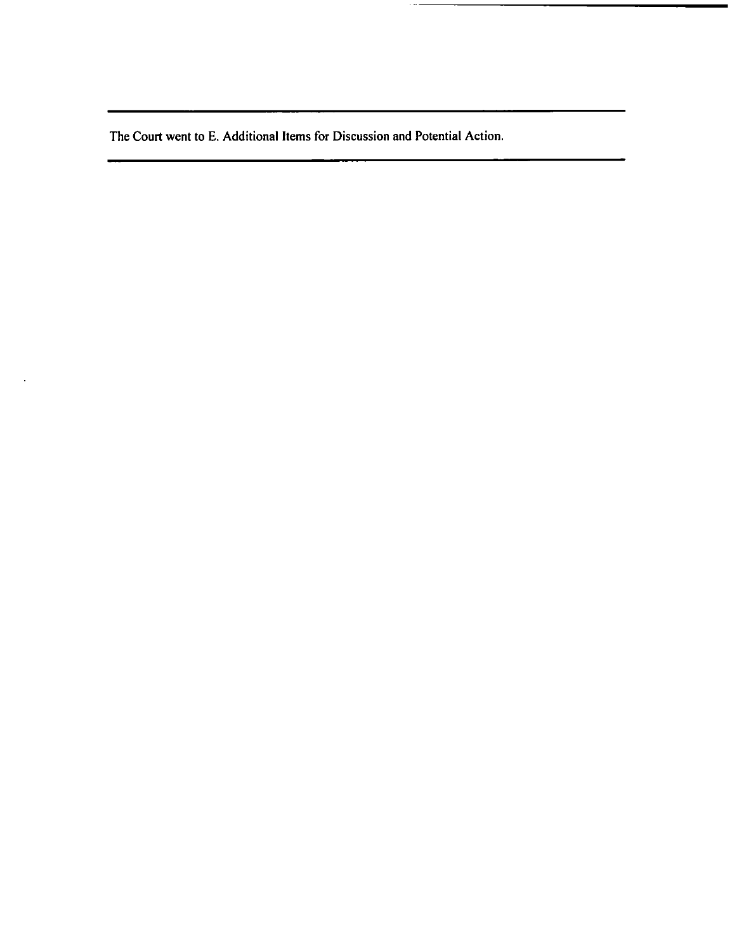The Court went to E. Addition The Court went to E. Additional Items for Discussion

 $\mathcal{L}$ 

 $\cdots$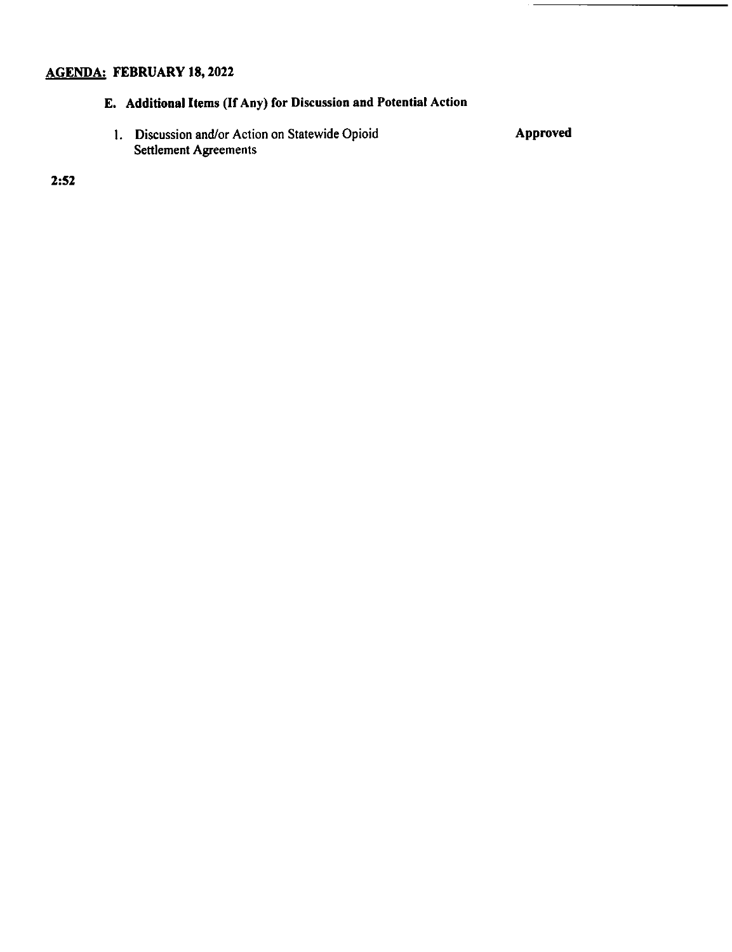# 2022<br>
18, 2022<br>
18, 2022<br>
18, 2022<br>
18, 2022<br>
18, 2022<br>
18, 2022<br>
18, 2022<br>
18, 2022<br>
18, 2021<br>
18, 2021<br>
18, 2021<br>
18, 2021<br>
18, 2021<br>
18, 2021<br>
18, 2021<br>
18, 2021<br>
18, 2021<br>
18, 2021<br>
18, 2021<br>
18, 2021<br>
18, 2021<br>
18, 2

**Discussion and Potential Action**<br>Statewide Opioid 1. Discussion and/or Action on Statewide Opioid Settlement Agreements<br>
Action I.D. Action of Action on State Western Approved Settlement Approved Settlement Approved Settlement Approved Settlement Approved Settlement Approved Settlement Approved Settlement Approved Sett

 $2:52$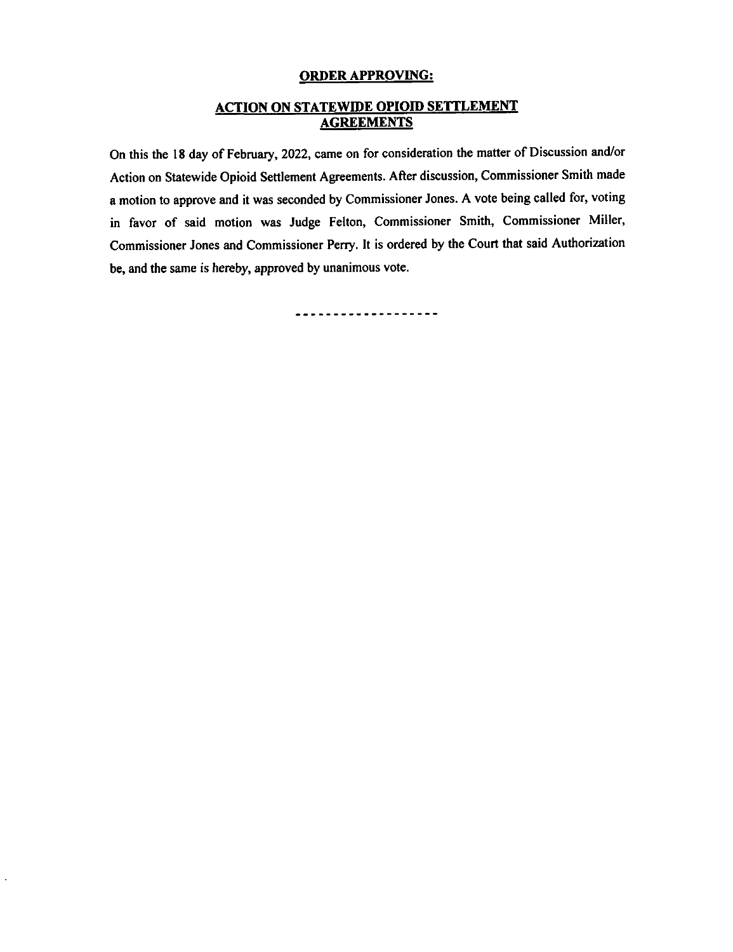# ACTION ON STATEWIDE OPIOID SETTLEMENT

**CRION ON STATEWIDE OPIOID SETTLEMENT**<br> **ACTION ON STATEWIDE OPIOID SETTLEMENT**<br>
On this the 18 day of February, 2022, came on for consideration the matter of Discussion and<br>
Action on Statewide Opioid Settlement Agreement FEDREMENTS<br>
The matter of Discussion and/or the matter of Discussion and/or State and Agreements. At the opinion of the Commissioner Smith and Is ordered by Court that Said Authorization<br>
a motion on Statewide Opioid Settlement Agreements. After discussion, Commissioner Smith mac<br>
a motion to approve and it was seconded by Commissioner Jones. A vote being called Action on Statewide Opioid Settlement Agreements. After discussion, Commissioner Smith made a motion to approve and it was seconded by Commissioner Jones. A vote being called for, voting be, and the same is hereby, approved by unanimous vote.

-----------------**-**-

 $\bar{a}$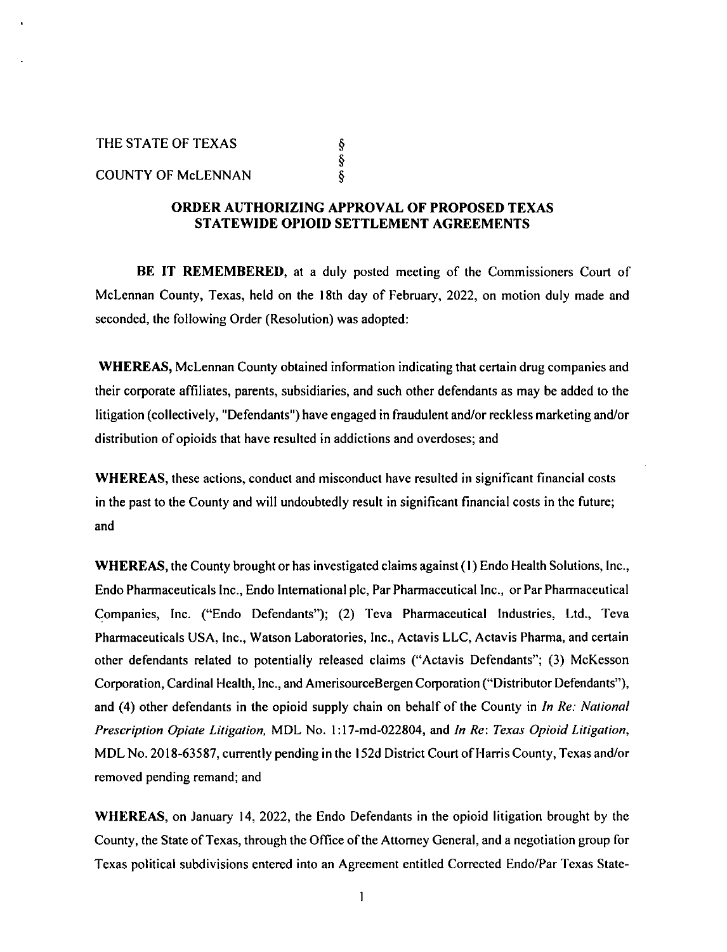### THE STATE OF TEXAS SERVICES OF THE STATE OF TEXAS, THE 18TH DAY OF THE 18TH DAY OF THE 18TH DAY OF THE 18TH DAY OF THE 18TH DAY OF THE 18TH DAY OF THE 18TH DAY OF THE 18TH DAY OF THE 18TH DAY OF THE 18TH DAY OF THE 18TH DA  $\frac{3}{8}$ <br>TV OF M<sub>C</sub>I FNNAN THE STATE OF TEXAS<br>
§<br>
COUNTY OF McLENNAN

THE

### $\frac{8}{9}$ <br>COUNTY OF McLENNAN<br>**ORDER AUTHORIZING APPROVAL OF PROPOSED TEXAS** engaged in fraudulent and the fraudulent series of the order and the state mathematic stribution of  $\frac{1}{2}$  or  $\frac{1}{2}$  or  $\frac{1}{2}$  or  $\frac{1}{2}$  or  $\frac{1}{2}$  or  $\frac{1}{2}$  or  $\frac{1}{2}$  or  $\frac{1}{2}$  or  $\frac{1}{2}$  or  $\frac{1$ have resulted in a strategy strategy in a strategy strategy of  $\mathbf{S}$

BE IT REMEMBERED, at a duly posted meeting of the Commissioners Court of **in SE IT REMEMBERED**, at a duly posted meeting of the County and County, Texas, held on the 18th day of February, 2022, or BE IT REMEMBERED, at a duly posted meeting of the Commissioners Court of<br>Lennan County, Texas, held on the 18th day of February, 2022, on motion duly made and<br>onded, the following Order (Resolution) was adopted: **HASE IT REMEMBERED, at a duly posted meeting of the Commis McLennan County, Texas, held on the 18th day of February, 2022, on motions, Seconded, the following Order (Resolution) was adopted:**<br>WHERAS McLennan County obtain Endo International place International place International Analytical Inc., and Pharmaceutical Inc., and Pharmaceutical Inc., and Pharmaceutical Inc. Entry Defending (No. 2013); (2) WHEREAS, McLennan County obtained inform

their corporate affiliates, parents, subsidiaries, and such other defendants as may be added to the WHEREAS, McLennan County obtained infortion-<br>their corporate affiliates, parents, subsidiaries,<br>litigation (collectively, "Defendants") have enga their corporate affiliates, parents, subsidiaries, and such other defendants as may be added to the litigation (collectively, "Defendants") have engaged in fraudulent and/or reckless marketing and/or distribution of opioid the County in Detendants June engaged in Fraudulent and/or reckless marketing and/or<br>distribution of opioids that have resulted in addictions and overdoses; and<br>WHEREAS, these actions, conduct and misconduct have resulted

**WHEREAS**, these actions, in the past to the County and will undoubtedly result in significant financial costs in the future; and

S, the County brought or has investigated claims against (1) Endo Health Solutions, Inc.,<br>S, the County brought or has investigated claims against (1) Endo Health Solutions, Inc., S, the County brought or has investigated claims against (1) Endo Health Solutions, Inc.,<br>naceuticals Inc., Endo International plc, Par Pharmaceutical Inc., or Par Pharmaceutical<br>Inc., ("Endo, Defendants"): (2) Teva, Pharm S, the County brought or has investigated claims against (1) Endo Health Solutions, Inc.,<br>naceuticals lnc., Endo International plc. Par Pharmaceutical Inc., or Par Pharmaceutical Endo Pharmaceuticals Inc., Endo International plc, Par Pharmaceutical Inc., or Par Pharmaceutical Companies, Inc. ("Endo Defendants"); (2) Teva Pharmaceutical Industries, Ltd., Teva<br>Pharmaceuticals USA, Inc., Watson Laboratories, Inc., Actavis LLC, Actavis Pharma, and certain other defendants related to potentially released claims ("Actavis Defendants"; (3) McKesson Corporation, Cardinal Health, Inc., and AmerisourceBergen Corporation ("Distributor Defendants"), and (4) other defendants in the opioid supply chain on behalf of the County in *In Re: National* Prescription Opiate Litigation, MDL No. 1:17-md-022804, and In Re: Texas Opioid Litigation, MDL No. 2018-63587, currently pending in the 152d District Court of Harris County, Texas and/or removed pending remand; and

**WHEREAS, on January 14, 2022, the Endo Defendants in the opioid litigation brought by the** County, the State of Texas, through the Office of the Attorney General, and a negotiation group for Texas political subdivisions entered into an Agreement entitled Corrected Endo/Par Texas State-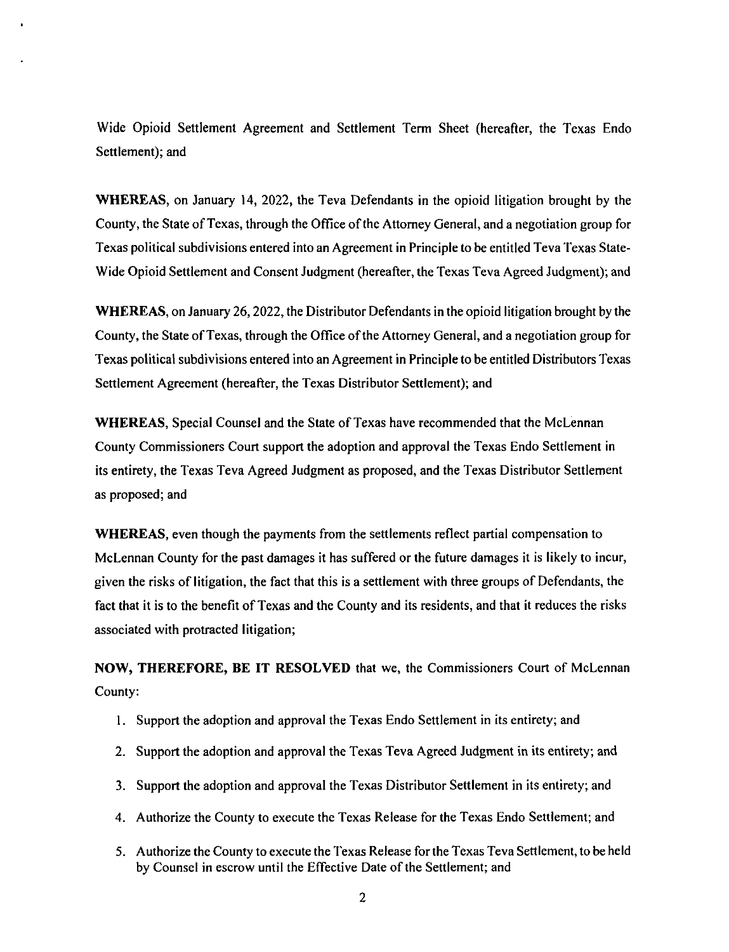Wide Opioid Settlement Agreement and Settlement Term Sheet ( hereafter, the Texas Endo Settlement); and

WHEREAS, on January 14, 2022, the Teva Defendants in the opioid litigation brought by the County, the State of Texas, through the Office of the Attorney General, and a negotiation group for Texas political subdivisions entered into an Agreement in Principle to be entitled Teva Texas State-Wide Opioid Settlement and Consent Judgment (hereafter, the Texas Teva Agreed Judgment); and

WHEREAS, on January 26, 2022, the Distributor Defendants in the opioid litigation brought by the County, the State of Texas, through the Office of the Attorney General, and a negotiation group for Texas political subdivisions entered into an Agreement in Principle to be entitled Distributors Texas Settlement Agreement (hereafter, the Texas Distributor Settlement); and

WHEREAS, Special Counsel and the State of Texas have recommended that the McLennan County Commissioners Court support the adoption and approval the Texas Endo Settlement in its entirety, the Texas Teva Agreed Judgment as proposed, and the Texas Distributor Settlement as proposed; and

WHEREAS, even though the payments from the settlements reflect partial compensation to McLennan County for the past damages it has suffered or the future damages it is likely to incur, given the risks of litigation, the fact that this is a settlement with three groups of Defendants, the fact that it is to the benefit of Texas and the County and its residents, and that it reduces the risks associated with protracted litigation;

NOW, THEREFORE, BE IT RESOLVED that we, the Commissioners Court of McLennan County:

- 1. Support the adoption and approval the Texas Endo Settlement in its entirety; and
- 2. Support the adoption and approval the Texas Teva Agreed Judgment in its entirety; and
- 3. Support the adoption and approval the Texas Distributor Settlement in its entirety; and
- 4. Authorize the County to execute the Texas Release for the Texas Endo Settlement; and
- 5. Authorize the County to execute the Texas Release for the Texas Teva Settlement, to be held by Counsel in escrow until the Effective Date of the Settlement; and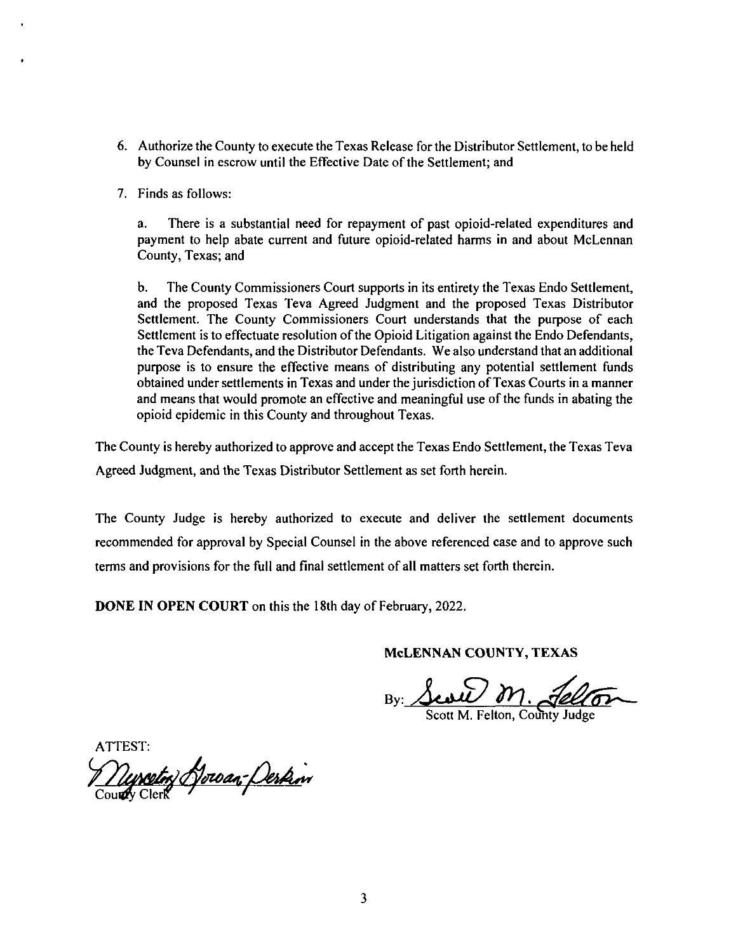- $t_{\text{max}}$ thorize the County to execute the Texas Release for the Distributor Settlement, to be held<br>Counsel in escrow until the Effective Date of the Settlement; and Counsel in escrow until the Effective Date of the Settlement; and  $\alpha$ morize the County to exe<br>Counsel in escrow until<br>ds as follows:
- 

T. Finds as follows:<br>a. There is a substantial need for repayment of past opioid-related expenditures and There is a substantial need for repayment of past opioid-related expenditures and<br>nent to help abate current and future opioid-related harms in and about McLennan<br>nty, Texas; and  $\mathbf{a}$ it to help abate current and future opioid-related harms in and about N<br>Texas; and<br>ne County Commissioners Court supports in its entirety the Texas Endo S

b. The County Commissioners Court supports in its entirety the Texas Endo Settlement, and the proposed Texas Teva Agreed Judgment and the proposed Texas Distributor  $\mathbf{b}$ . Settlement. The County Commissioners Court understands that the purpose of each Settlement is to effectuate resolution of the Opioid Litigation against the Endo Defendants, the Teva Defendants, and the Distributor Defendants. We also understand that an additional purpose is to ensure the effective means of distributing any potential settlement funds obtained under settlements in Texas and under the jurisdiction of Texas Courts in a manner notal means that would promote an effective and meaningful use of the funds in abating the opioid epidemic in this County and throughout Texas.

Indepture in this County and throughout Texas.<br>In the Texas Teva Agreed is hereby authorized to approve and accept the Texas Endo Settlement, the Texas Teva<br>Igment, and the Texas Distributor Settlement as set forth herein. Agreed Judgment, and the Texas Distributor Settlement as set forth herein.

recommended for approval by Special Counsel in the above referenced case and to approve such terms and The County Judge is hereby authorized to execute and deliver the settlement documents y Judge is hereby authorized to execute and deliver the settlement documents<br>led for approval by Special Counsel in the above referenced case and to approve such led for approval by Special Counsel in the above referenced case and<br>

**DONE IN OPEN COURT** on this the 18th day of February, 2022.

### McLENNAN COUNTY, TEXAS

**ATTEST:** yscetor Horoan-Deskin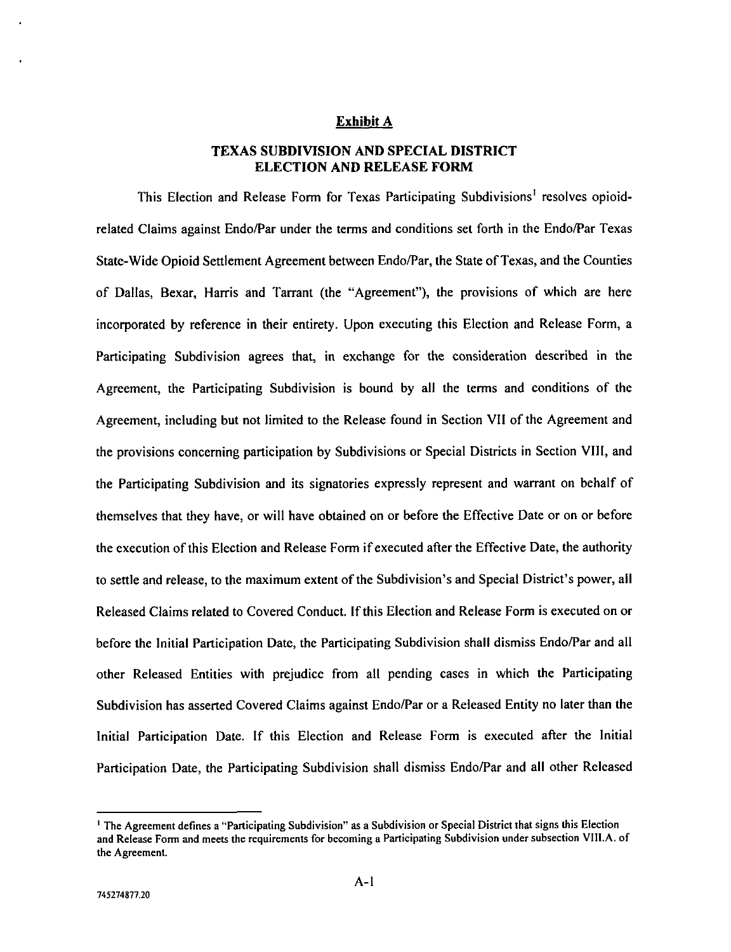# Exhibit A district election and release for the contract of the contract of the contract of the contract of the contract of the contract of the contract of the contract of the contract of the contract of the contract of the contract

### TEXAS SUBDIVISION AND SPECIAL DISTRICT<br>ELECTION AND RELEASE FORM **ELECTION AND RELEASE FORM**

ELECTION AND RELEASE FORM<br>is Election and Release Form for Texas Participating St This Election and Release Form for Texas Participating Subdivisions<sup>1</sup> resolves opioted Claims against Endo/Par under the terms and conditions set forth in the Endo/Par Tex I his Election and Release Form for Texas Participating Subdivisions' resolves opioid-<br>related Claims against Endo/Par under the terms and conditions set forth in the Endo/Par Texas<br>State-Wide Opioid Settlement Agreement b State-Wide Opioid Settlement Agreement between Endo/Par, the State of Texas, and the Counties of Dallas, Bexar, Harris and Tarrant (the "Agreement"), the provisions of which are here<br>incorporated by reference in their entirety. Upon executing this Election and Release Form, a rporated by reference in their entirety. Upon executing this Election and Release Form, a<br>icipating Subdivision agrees that, in exchange for the consideration described in the Participating Subdivision agrees that, in exchange Agreement, the Participating Subdivision is bound by all the terms and conditions of the Agreement, including but not limited to the Release found in Section VII of the Agreement and the provisions concerning participation by Subdivisions or Special Districts in Section VIII, and the Participating Subdivision and its signatories expressly represent and warrant on behalf of the ration passivision and release in process represent and maximum on country or<br>themselves that they have, or will have obtained on or before the Effective Date or on or before themselves that they have, or will have obtained on or before the Effective Date or on or before<br>the execution of this Election and Release Form if executed after the Effective Date, the authority the execution of this Election and Release Form if executed after the Effective Date, the authority to settle and release, to the maximum extent of the Subdivision's and Special District's power, all ettle and release, to the maximum extent of the Subdivision's and Special District's power, all<br>lased Claims related to Covered Conduct. If this Election and Release Form is executed on or Released Claims related to Covered Conduct. If this Election and Release Form is executed on or before the Initial Participation Date, the Participating Subdivision shall dismiss Endo/Par and all Released Claims related to Covered Conduct. It this Election and Release Form is executed on or<br>before the Initial Participation Date, the Participating Subdivision shall dismiss Endo/Par and all<br>other Released Entities wi Subdivision has asserted Covered Claims against Endo/Par or a Released Entity no later than the Subdivision has asserted Covered Claims against Endo/Par or a Released Entity no later than the<br>Initial Participation Date. If this Election and Release Form is executed after the Initial Initial Participation Date. Participation Date, the Participating Subdivision shall dismiss Endo/Par and all other Released

<sup>&</sup>lt;sup>1</sup> The Agreement defines a "Participating Subdivision" as a Subdivision or Special District that signs this Election and Release Form and meets the requirements for becoming a Participating Subdivision under subsection VIII.A. of the Agreement.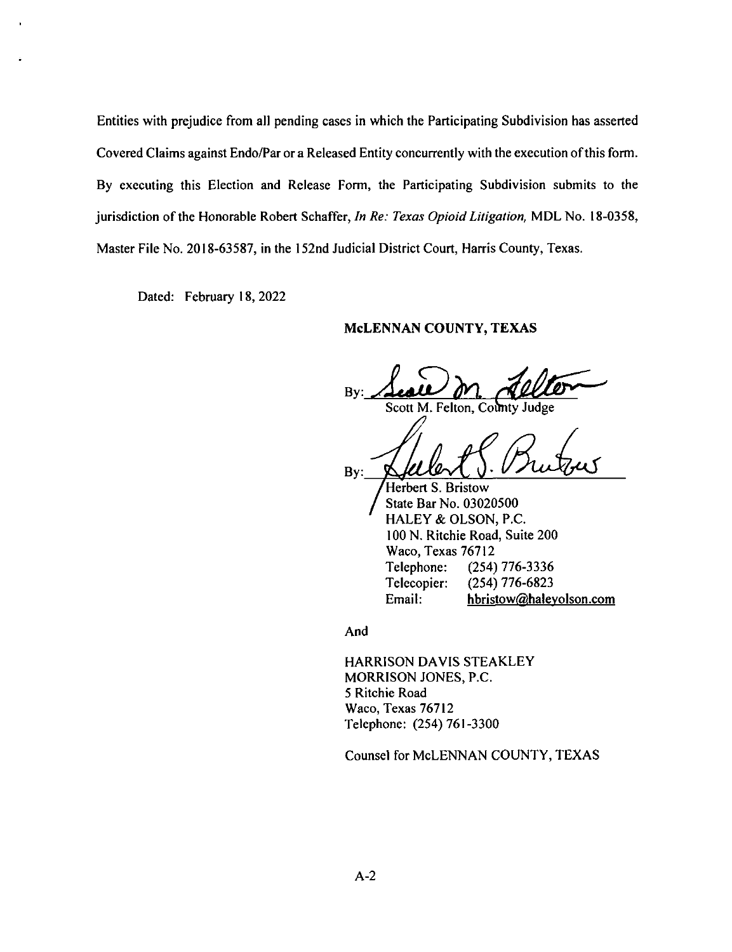ities with prejudice from all pending cases in which the Participating Subdivision has asserted Entities with prejudice from all pending cases in which the Participating Subdivision has asserted<br>Covered Claims against Endo/Par or a Released Entity concurrently with the execution of this form. Covered Claims against Endo/Par or a Released Entity concurrently with the execution of this form. By executing this Election and Release Form, the Participating Subdivision submits to the jurisdiction of the Honorable Robert Schaffer, In Re: Texas Opioid Litigation, MDL No. 18-0358, Master File No. 2018-63587, in the 152nd Judicial District Court, Harris County, Texas. jurisdiction of the Honorable Robert Schaffer, In Re: Texas Opioid Litigation, MDL No. 18-0358,

Dated: February 18, 2022

### McLENNAN COUNTY, TEXAS

 $\ell$ Seare on delter  $Bv$ 

 $\rho$  $\mathcal{A}$  or  $\mathcal{A}$ Bv:

Herbert S. Bristow  $M_{\text{HALEY}}$ <br> $100 \text{ N.}$  R<br> $M_{\text{RSC}}$ Telephone:  $(254)$  776-3336 Telecopier:  $(254)$  776-6823 Email: hbristow@haleyolson.com

And

HARRISON DAVIS STEAKLEY MORRISON JONES, P.C. 5 Ritchie Road Waco, Texas 76712 Telephone: (254) 761-3300

Counsel for McLENNAN COUNTY, TEXAS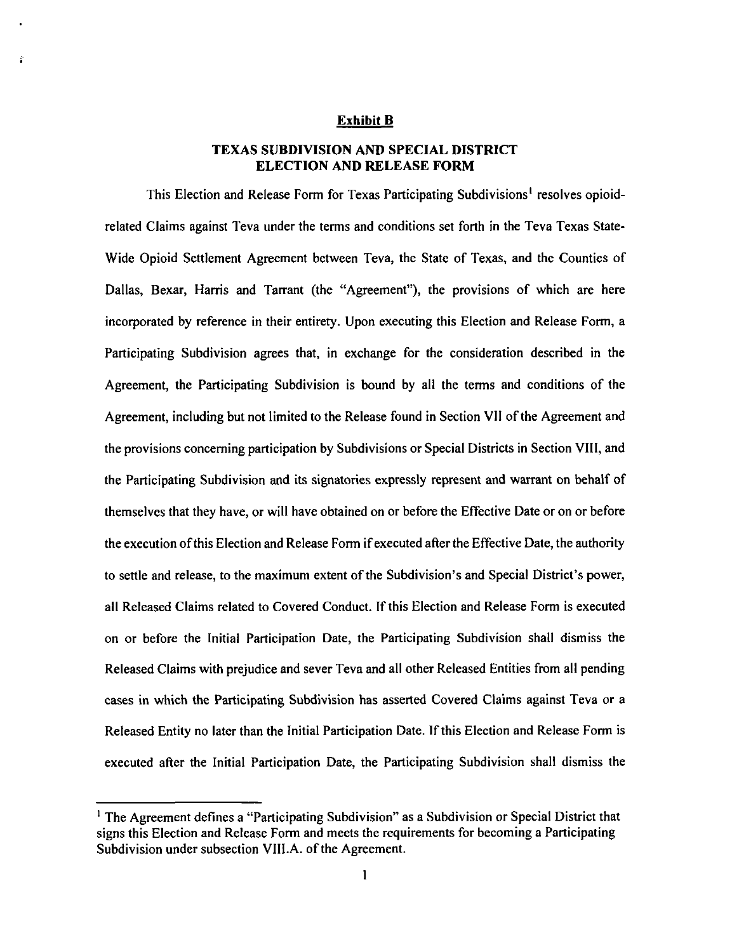#### Exhibit B

### TEXAS SUBDIVISION AND SPECIAL DISTRICT i subdivision and special dis<br>Election and release form

This Election and Release Form for Texas Participating Subdivisions<sup>1</sup> resolves opioidrelated Claims against Teva under the terms and conditions set forth in the Teva Texas State-Wide Opioid Settlement Agreement between Teva, the State of Texas, and the Counties of Dallas, Bexar, Harris and Tarrant (the "Agreement"), the provisions of which are here incorporated by reference in their entirety. Upon executing this Election and Release Form, a Participating Subdivision agrees that, in exchange for the consideration described in the Agreement, the Participating Subdivision is bound by all the terms and conditions of the Agreement, including but not limited to the Release found in Section VII of the Agreement and<br>the provisions concerning participation by Subdivisions or Special Districts in Section VIII, and the Participating Subdivision and its signatories expressly represent and warrant on behalf of<br>themselves that they have, or will have obtained on or before the Effective Date or on or before the execution of this Election and Release Form if executed after the Effective Date, the authority to settle and release, to the maximum extent of the Subdivision's and Special District's power, to settle and release, to the maximum extent of the Subdivision's and Special District's power,<br>all Released Claims related to Covered Conduct. If this Election and Release Form is executed all Released Claims related to Covered Conduct. If this Election and Release Form is executed<br>on or before the Initial Participation Date, the Participating Subdivision shall dismiss the Initial Participation Date, the Participating Subdivision shall dismiss the<br>Released Claims with prejudice and sever Teva and all other Released Entities from all pending all Released Claims related to Covered Conduct. If this Election and Release Form is executed<br>on or before the Initial Participation Date, the Participating Subdivision shall dismiss the<br>Released Claims with prejudice and cases in which the Participating Subdivision has asserted Covered Claims against Teva or a<br>Released Entity no later than the Initial Participation Date. If this Election and Release Form is<br>executed after the Initial Parti

<sup>&</sup>lt;sup>1</sup> The Agreement defines a "Participating Subdivision" as a Subdivision or Special District that signs this Election and Release Form and meets the requirements for becoming a Participating Subdivision under subsection VIII.A. of the Agreement.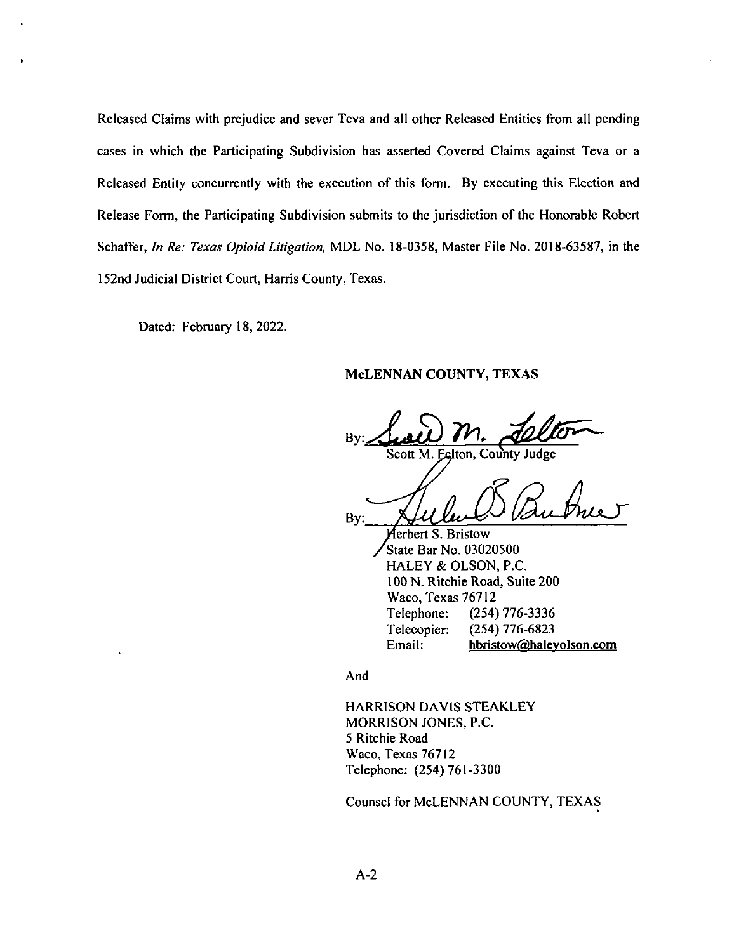Released Claims wi Released Claims with prejudice an<br>cases in which the Participating cases in which the Participating Subdivision I<br>Released Entity concurrently with the execution Schaffer, In Re: Texas Opioid Litigation, MDL No. 18-0358, Master File No. 2018-63587, in 160 and Tudisial District County Hamis County.  $\mathfrak g$  Subdivision submi icipating Subdivision subm Election of the Honorable arris County, Texas.

> Febru hbristow( ahaleyolson. com

### McLENNAN COUNTY, TEXAS

 $\overline{B}$ Scott M. Ealton, County Judge

 $By:$ 

Merbert S. Bristow State Bar No. 03020500 HALEY & OLSON, P.C. 100 N. Ritchie Road, Suite 200 Waco, Texas 76712 Telephone:  $(254)$  776-3336 Telecopier:  $(254)$  776-6823 Email: hbristow@haleyolson.com

And

**HARRISON DAVIS STEAKLEY** MORRISON JONES, P.C. 5 Ritchie Road Waco, Texas 76712 Telephone: (254) 761-3300

Counsel for McLENNAN COUNTY, TEXAS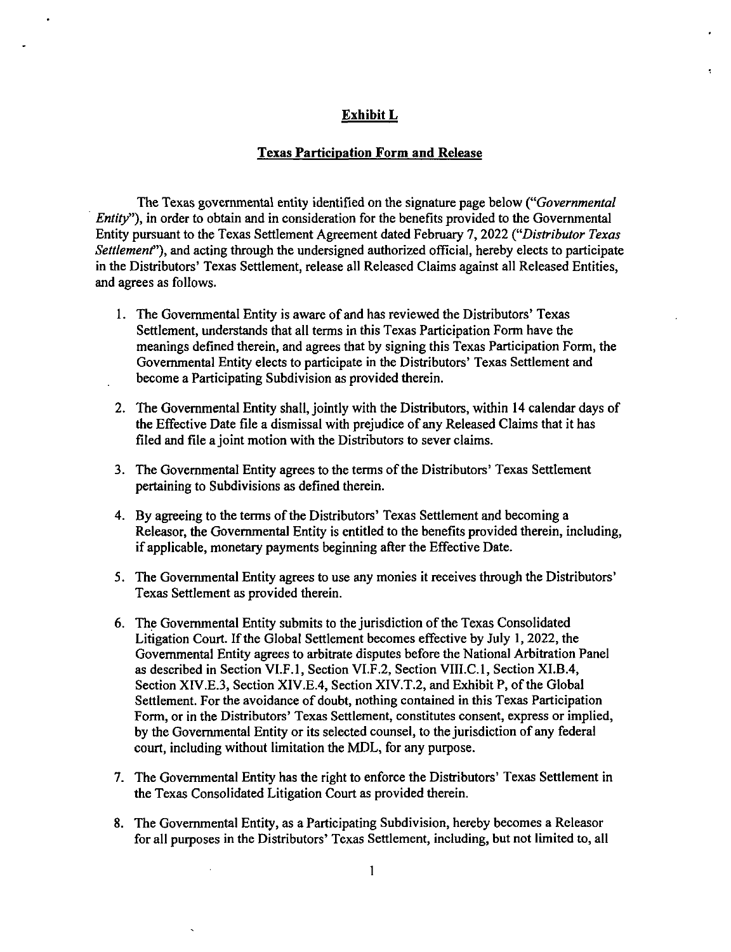### Exhibit L

### Texas Participation Form and Release

The Texas governmental entity identified on the signature page below ("Governmental Entity"), in order to obtain and in consideration for the benefits provided to the Governmental Entity pursuant to the Texas Settlement Agreement dated February 7, 2022 ("Distributor Texas Settlement"), and acting through the undersigned authorized official, hereby elects to participate in the Distributors' Texas Settlement, release all Released Claims against all Released Entities, and agrees as follows.

- 1. The Governmental Entity is aware of and has reviewed the Distributors' Texas Settlement, understands that all terms in this Texas Participation Form have the meanings defined therein, and agrees that by signing this Texas Participation Form, the Governmental Entity elects to participate in the Distributors' Texas Settlement and become a Participating Subdivision as provided therein.
- 2. The Governmental Entity shall, jointly with the Distributors, within 14 calendar days of the Effective Date file a dismissal with prejudice of any Released Claims that it has filed and file a joint motion with the Distributors to sever claims.
- 3. The Governmental Entity agrees to the terms of the Distributors' Texas Settlement pertaining to Subdivisions as defined therein.
- 4. By agreeing to the terms of the Distributors' Texas Settlement and becoming a Releasor, the Governmental Entity is entitled to the benefits provided therein, including, if applicable, monetary payments beginning after the Effective Date.
- 5. The Governmental Entity agrees to use any monies it receives through the Distributors' Texas Settlement as provided therein.
- 6. The Governmental Entity submits to the jurisdiction of the Texas Consolidated Litigation Court. If the Global Settlement becomes effective by July 1, 2022, the Governmental Entity agrees to arbitrate disputes before the National Arbitration Panel as described in Section VI.F.1, Section VI.F.2, Section VIII.C.1, Section XI.B.4, Section XIV.E.3, Section XIV.E.4, Section XIV.T.2, and Exhibit P, of the Global Settlement. For the avoidance of doubt, nothing contained in this Texas Participation Form, or in the Distributors' Texas Settlement, constitutes consent, express or implied, by the Governmental Entity or its selected counsel, to the jurisdiction of any federal court, including without limitation the MDL, for any purpose.
- 7. The Governmental Entity has the right to enforce the Distributors' Texas Settlement in the Texas Consolidated Litigation Court as provided therein.
- 8. The Governmental Entity, as a Participating Subdivision, hereby becomes a Releasor for all purposes in the Distributors' Texas Settlement, including, but not limited to, all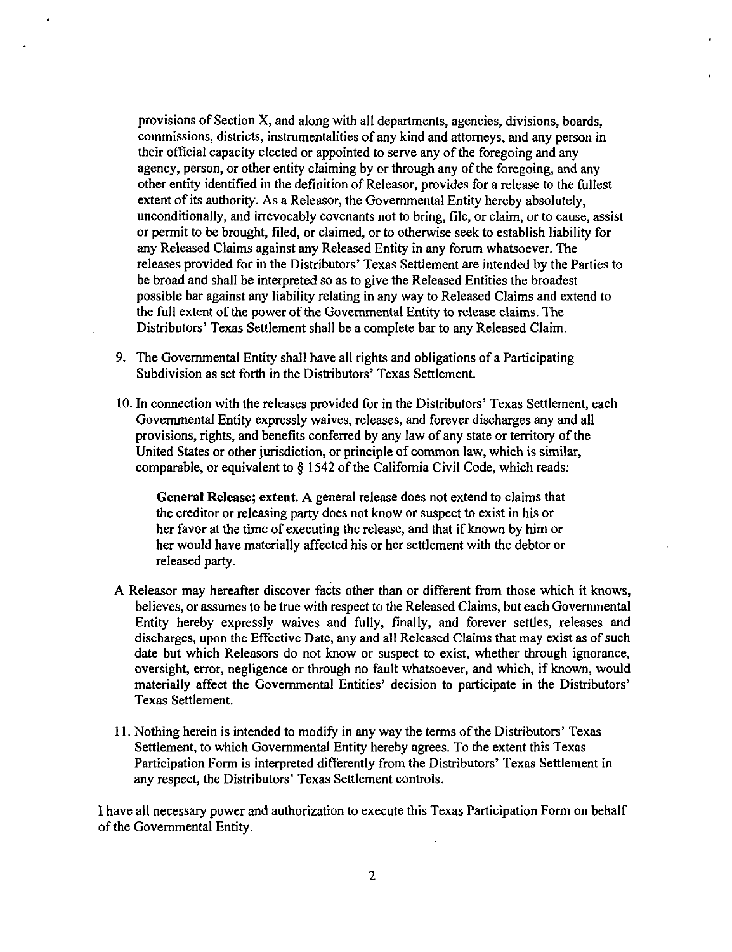districts.<br>The same with all departments, agence provisions of Section X, and along with all departments, agencies, divisions, boards,<br>commissions, districts, instrumentalities of any kind and atternays, and any narson in provisions of Section X, and along with all departments, agencies, divisions, boards,<br>commissions, districts, instrumentalities of any kind and attorneys, and any person in<br>their official capacity elected or appointed to s provisions of Section X, and along with all departments, agencies, divisions, boards, commissions, districts, instrumentalities of any kind and attorneys, and any person in their official capacity elected or appointed to s commissions, districts, instrumentalities of any kind and attorneys, and any person in<br>their official capacity elected or appointed to serve any of the foregoing and any<br>agency, person, or other entity claiming by or throu provisions of Section X, and along with all departments, agencies, divisions, boards, commissions, districts, instrumentalities of any kind and attorneys, and any person in their official capacity elected or appointed to s their official capacity elected or appointed to serve any of the foregoing and any agency, person, or other entity claiming by or through any of the foregoing, and any other entity identified in the definition of Releasor, other entity identified in the definition of Releasor, provides for a release to the fullest<br>extent of its authority. As a Releasor, the Governmental Entity hereby absolutely,<br>unconditionally, and irrevocably covenants not or permit to be brought, filed, or claimed, or to otherwise seek to establish liability for any Released Claims against any Released Entity in any forum whatsoever. The any Released Claims against any Released Entity in any forum whatsoever. The<br>releases provided for in the Distributors' Texas Settlement are intended by the Parties to<br>be broad and shall be interpreted so as to give the Re any Released Claims against any Released Entity in any forum whatsoever. The<br>releases provided for in the Distributors' Texas Settlement are intended by the Parties<br>be broad and shall be interpreted so as to give the Relea released Claims and exist the full extent of the power of the Governmental Entity to release claims. The Distributors' Texas Settlement shall be a complete bar to any Released Claim.<br>9. The Governmental Entity shall have a

- Distributors' Texas Settlement shall be a complete bar to any Released Claim.<br>9. The Governmental Entity shall have all rights and obligations of a Participating<br>Subdivision as set forth in the Distributors' Texas Settleme
- 10. In connection with the releases provided for in the Distributors' Texas Settlement, each In connection with the releases provided for in the Distributors' Texas Settlement, Governmental Entity expressly waives, releases, and forever discharges any and all provisions, rights, and benefits conferred by any law o provisions, rights, and benefits conferred by any law of any state or territory of the United States or other jurisdiction, or principle of common law, which is similar, comparable, or equivalent to § 1542 of the Californi comparable, or equivalent to  $\S$  1542 of the California Civil Code, which reads:<br>General Release; extent. A general release does not extend to claims that

the creditor or releasing party does not know or suspect to exist in his or General Release; extent. A general release does not extend to claims that<br>the creditor or releasing party does not know or suspect to exist in his or<br>her favor at the time of executing the release, and that if known by him her would have materially affected his or her settlement with the debtor or released party.

- A Releasor may hereafter discover facts other than or different from those which it knows, believes, or assumes to be true with respect to the Released Claims, but each Governmental Entity hereby expressly waives and fully, finally, and forever settles, releases and discharges, upon the Effective Date, any and all Released Claims that may exist as of such date but which Releasors do not know or suspect to exist, whether through ignorance, oversight, error, negligence or through no fault whatsoever, and which, if known, would materially affect the Governmental Entities' decision to participate in the Distributors' Texas Settlement.
- 11. Nothing herein is intended to modify in any way the terms of the Distributors' Texas Settlement, to which Governmental Entity hereby agrees. To the extent this Texas Participation Form is interpreted differently from the Distributors' Texas Settlement in any respect, the Distributors' Texas Settlement controls.

I have all necessary power and authorization to execute this Texas Participation Form on behalf of the Governmental Entity.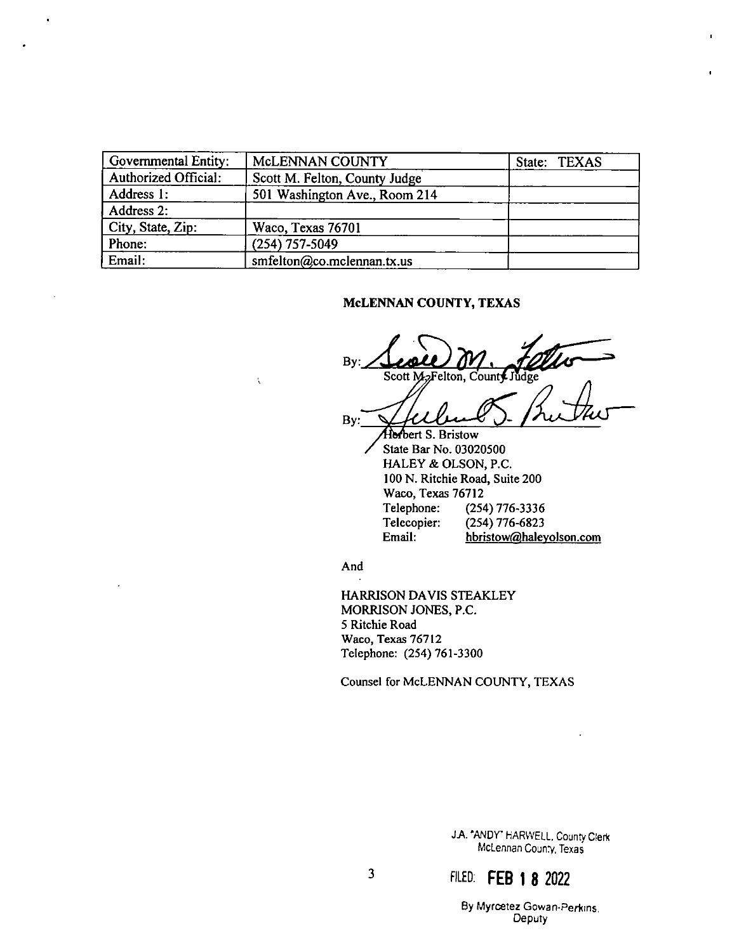| Governmental Entity: | McLENNAN COUNTY               | State: TEXAS |
|----------------------|-------------------------------|--------------|
| Authorized Official: | Scott M. Felton, County Judge |              |
| Address 1:           | 501 Washington Ave., Room 214 |              |
| Address 2:           |                               |              |
| City, State, Zip:    | Waco, Texas 76701             |              |
| Phone:               | (254) 757-5049                |              |
| Email:               | smfelton@co.mclennan.tx.us    |              |

 $\ddot{\phantom{0}}$ 

#### McLENNAN COUNTY, TEXAS

By: Scott M<sub>2</sub>Felton, County Judge By: Horbert S. Bristow State Bar No. 03020500 HALEY & OLSON, P.C. 100 N. Ritchie Road, Suite 200 Waco, Texas 76712 Telephone: (254) 776-3336 Telecopier:  $(254)$  776-6823 Email: hbristow@haleyolson.com

And

Ķ

HARRISON DAVIS STEAKLEY MORRISON JONES, P.C. 5 Ritchie Road Waco, Texas 76712 Telephone: (254) 761-3300

Counsel for McLENNAN COUNTY, TEXAS

J.A. "ANDY" HARWELL, County Clerk McLennan County, Texas

 $\mathbf{3}$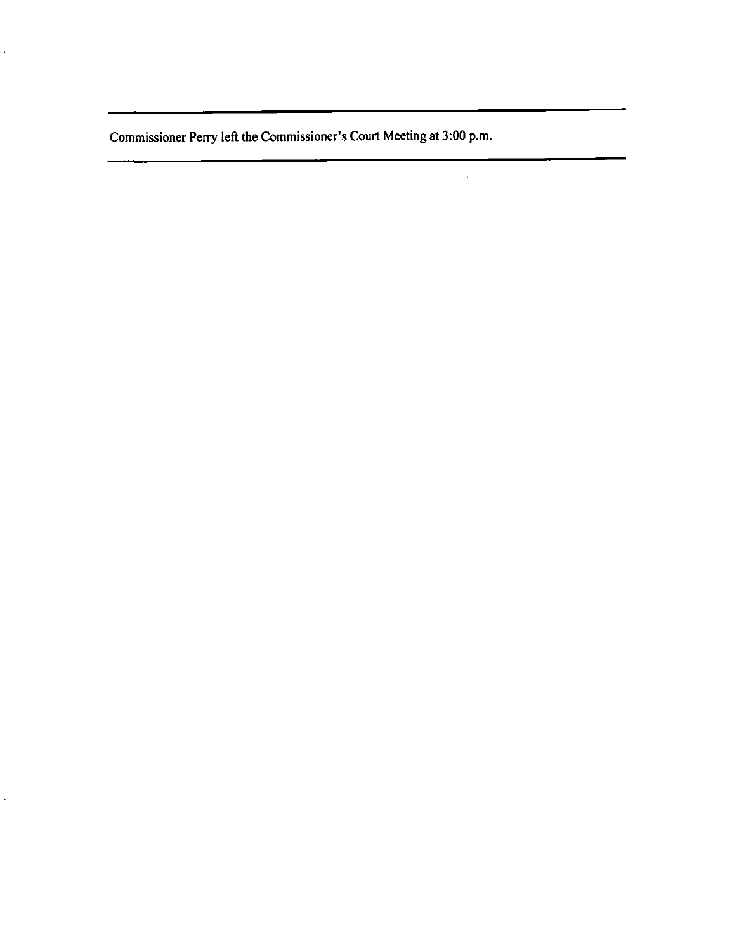Commissioner Perry left the Commissioner's Court Meeting at 3:00 p.m.

 $\hat{\mathcal{L}}$ 

à.

 $\ddot{\phantom{0}}$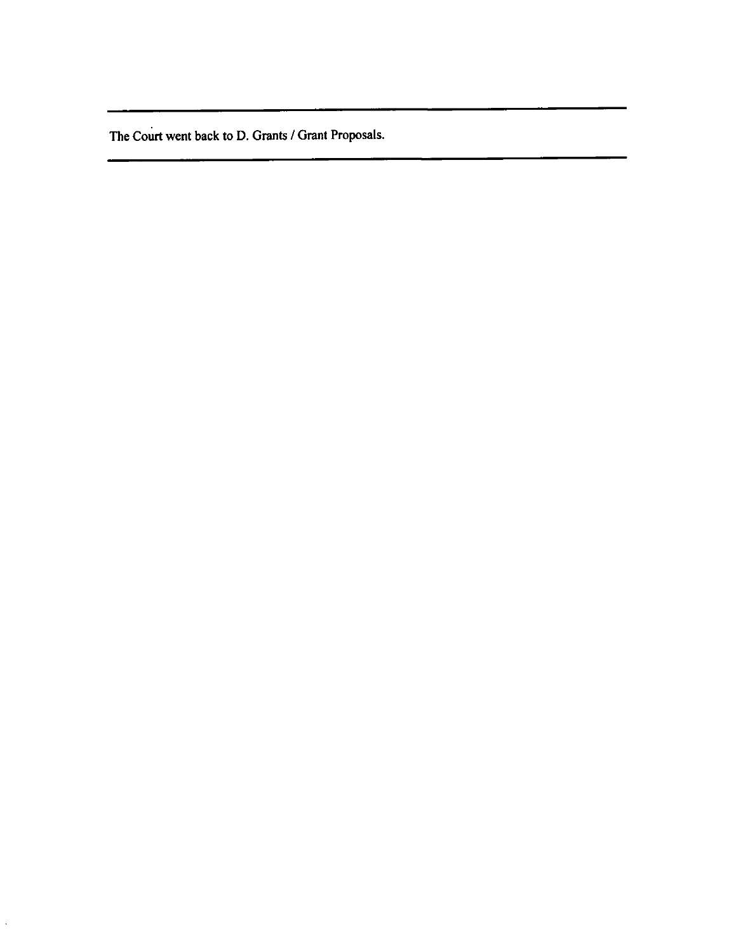D. Grants/Grant

 $\ddot{\phantom{0}}$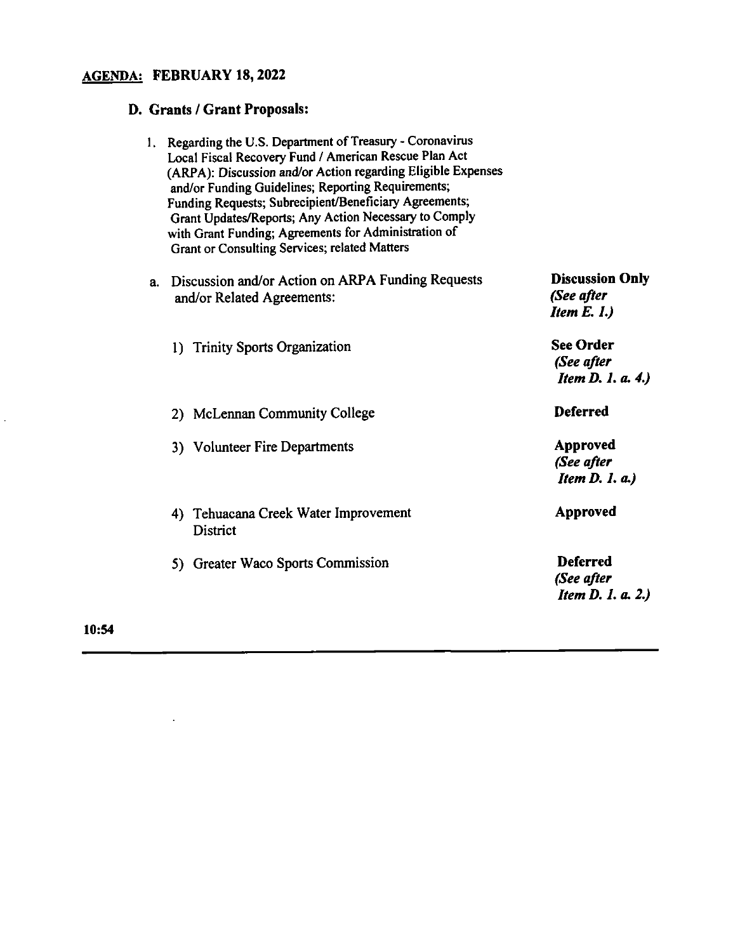### AGENDA: FEBRUARY 18, 2022

### D. Grants/ Grant Proposals:

|    | 1. Regarding the U.S. Department of Treasury - Coronavirus<br>Local Fiscal Recovery Fund / American Rescue Plan Act<br>(ARPA): Discussion and/or Action regarding Eligible Expenses<br>and/or Funding Guidelines; Reporting Requirements;<br>Funding Requests; Subrecipient/Beneficiary Agreements;<br>Grant Updates/Reports; Any Action Necessary to Comply<br>with Grant Funding; Agreements for Administration of<br>Grant or Consulting Services; related Matters |                                                           |
|----|-----------------------------------------------------------------------------------------------------------------------------------------------------------------------------------------------------------------------------------------------------------------------------------------------------------------------------------------------------------------------------------------------------------------------------------------------------------------------|-----------------------------------------------------------|
| a. | Discussion and/or Action on ARPA Funding Requests<br>and/or Related Agreements:                                                                                                                                                                                                                                                                                                                                                                                       | <b>Discussion Only</b><br>(See after<br>Item E. I.)       |
|    | 1) Trinity Sports Organization                                                                                                                                                                                                                                                                                                                                                                                                                                        | <b>See Order</b><br>(See after<br>Item D. 1. a. 4.)       |
|    | 2) McLennan Community College                                                                                                                                                                                                                                                                                                                                                                                                                                         | <b>Deferred</b>                                           |
|    | 3) Volunteer Fire Departments                                                                                                                                                                                                                                                                                                                                                                                                                                         | <b>Approved</b><br>(See after<br><b>Item D. 1. a.)</b>    |
|    | 4) Tehuacana Creek Water Improvement<br><b>District</b>                                                                                                                                                                                                                                                                                                                                                                                                               | <b>Approved</b>                                           |
|    | 5) Greater Waco Sports Commission                                                                                                                                                                                                                                                                                                                                                                                                                                     | <b>Deferred</b><br>(See after<br><b>Item D. 1. a. 2.)</b> |

10:54

 $\mathcal{L}^{\pm}$ 

 $\mathbb{R}^2$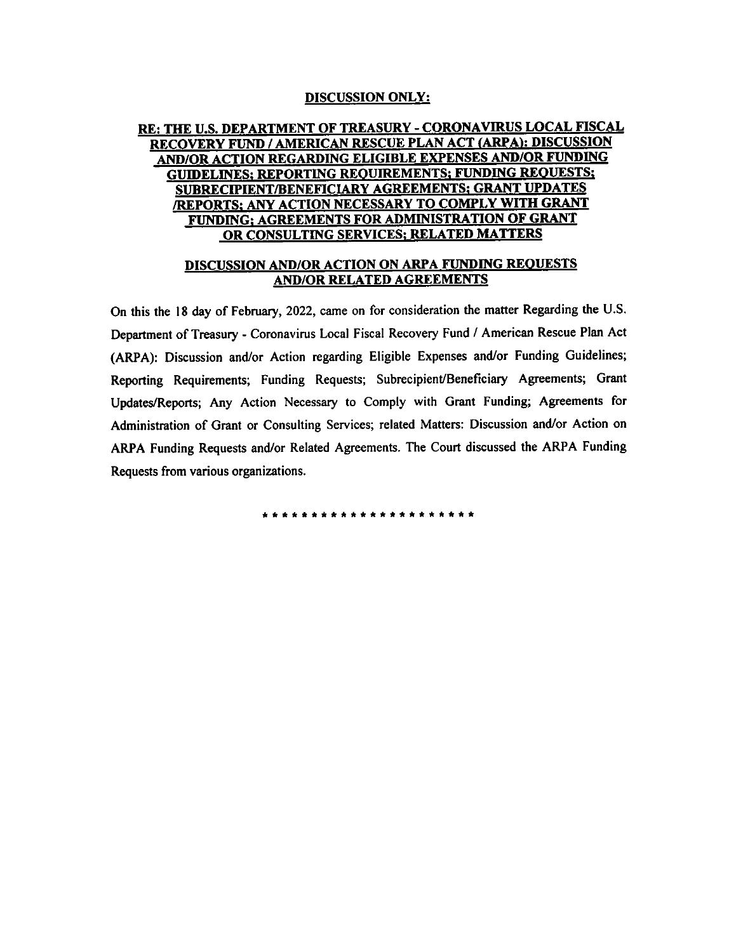### **DISCUSSION ONLY:**

#### CORONAVIRUS LOCAL AND/OR ACTION REGARDING ELIGIBLE EXPENSES AND/OR FUNDING ; REQUIREMENTS; FUNDING REQUE<br>LIARY AGREEMENTS; GRANT UPDAT<br>NECESSAPY TO COMPLY WITH GRA ACT( ENTS FOR ADMINISTRATION OF GRANT O MATTEDS G. ME <u>G SEI</u> REQUESTS AND/ OR RELATED ARPA FUNDING

#### DISCUSSION AND/OR ACTION ON ARPA FUNDING REQUESTS <u>related agreements</u>  $\overline{\phantom{a}}$

Grant Fundings for Administration on this the 18 day of February, 2022, came on ne matter Regardin Comply with Grant or  $$ or Related Agreements. The Court discussed the ARPA Funding Requests from *Dep* (ARPA): Discussion and/or Action regarding Eligible Expenses and/or Funding Guidelines; Reporting Requirements: Funding Requests; Subrecipient/Beneficiary Agreements; Grant Updates/Reports; Any Action Necessary to Comply with Grant Funding; Agreements for Administration of Grant or Consulting Services; related Matters: Discussion and/or Action on ARPA Funding Requests and/or Related Agreements. The Court discussed the ARPA Funding Requests from various organizations.

\*\*\*\*\*\*\*\*\*\*\*\*\*\*\*\*\*\*\*\*\*\*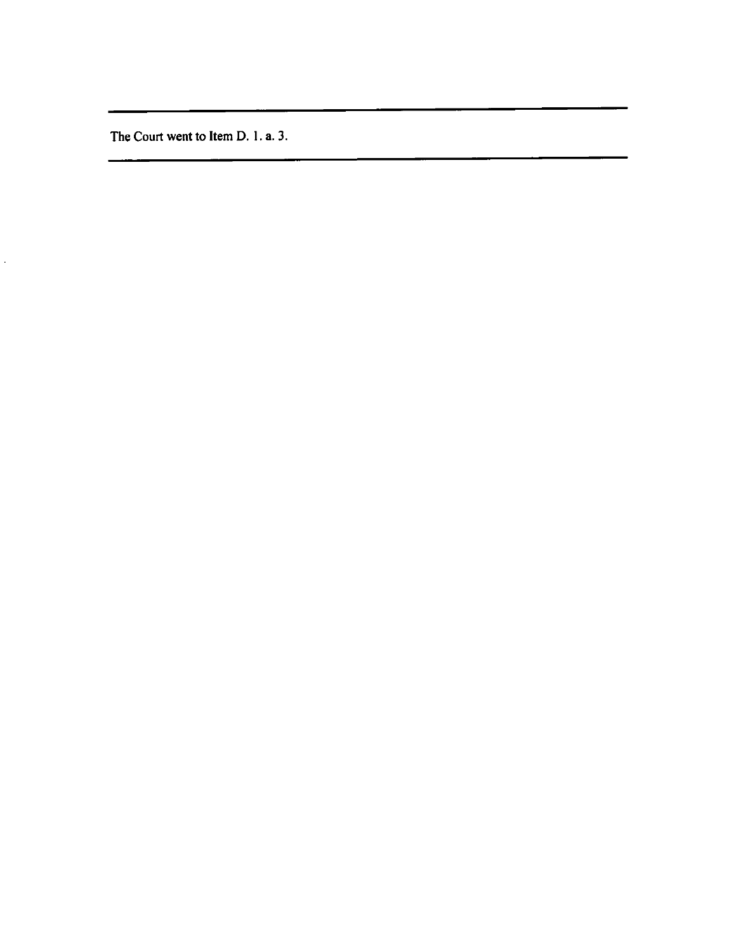The Court went to Item D. 1. a. 3.

 $\ddot{\phantom{a}}$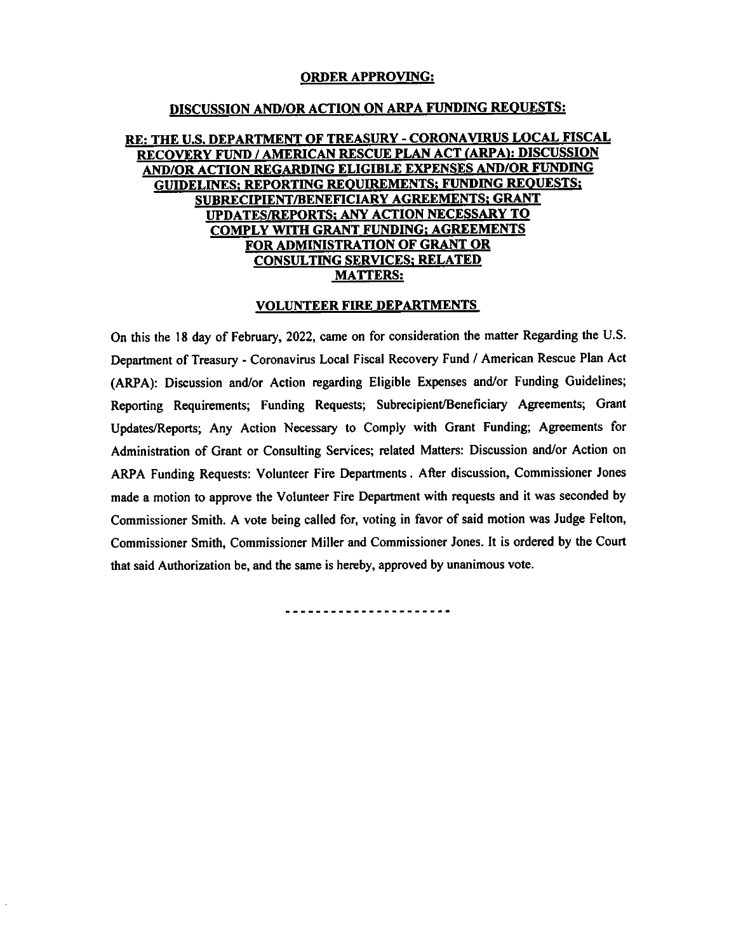## ORDER APPROVING:

### <u>DISCUSSION AND/OR ACTION ON ARPA FUNDING REQUESTS:</u><br>RE: THE U.S. DEPARTMENT OF TREASURY - CORONAVIRUS LOCAL FISCAL the second second second second second second second second second second second second second second second s<br>The second second second second second second second second second second second second second second second s RECOVERY FUND / AMERICAN RESCUE PLAN ACT (ARPA): DISCUSSION<br>AND/OR ACTION REGARDING ELIGIBLE EXPENSES AND/OR FUNDING GUIDELINES; REPORTING REQUIREMENTS; FUNDING REQUESTS; SUBRECIPIENT/BENEFICIARY AGREEMENTS; GRANT UPDATES/REPORTS; ANY ACTION NECESSARY TO COMPLY WITH GRANT FUNDING; AGREEMENTS FOR ADMINISTRATION OF GRANT OR **CONSULTING SERVICES; RELATED<br>MATTERS:** MATTERS:<br>MATTERS:<br>VOLUNTEER FIRE DEPARTMENTS

VOLUNTEER FIRE DEPARTMENTS<br>On this the 18 day of February, 2022, came on for consideration the matter Regarding the U.S. On this the 18 day of February, 2022, came on for consideration the matter Regarding the U.S.<br>Department of Treasury - Coronavirus Local Fiscal Recovery Fund / American Rescue Plan Act Department of Treasury - Coronavirus Local Fiscal Recovery Fund / American Rescue Plan Act<br>(ARPA): Discussion and/or Action regarding Eligible Expenses and/or Funding Guidelines; Reporting Requirements; Funding Requests; Subrecipient/Beneficiary Agreements; Grant Updates/Reports; Any Action Necessary to Comply with Grant Funding; Agreements for Administration of Grant or Consulting Services; related Matters: Discussion and/or Action on ARPA Funding Requests: Volunteer Fire Departments. After discussion, Commissioner Jones made a motion to approve the Volunteer Fire Department with requests and it was seconded by Commissioner Smith. A vote being called for, voting in favor of said motion was Judge Felton, Commissioner Smith, Commissioner Miller and Commissioner Jones. It is ordered by the Court that said Authorization be, and the same is hereby, approved by unanimous vote.

----------------------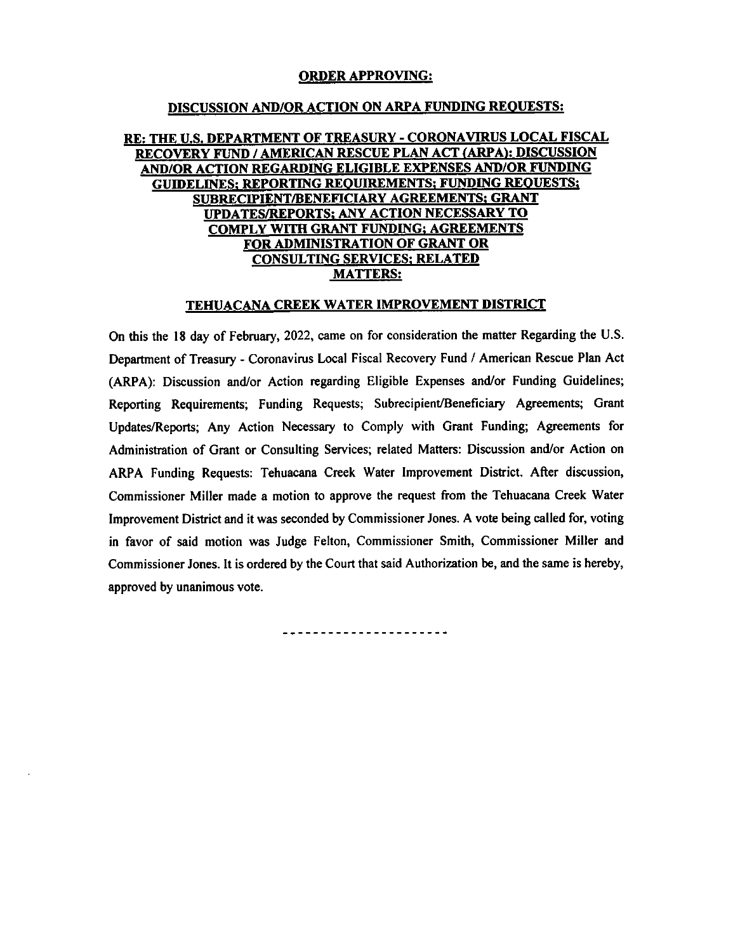### ORDER APPROVING:

# <u>DISCUSSION AND/OR ACTION ON ARPA FUNDING REQUESTS:</u><br>RE: THE U.S. DEPARTMENT OF TREASURY - CORONAVIRUS LOCAL FISCAL

### RECOVERY FUND / AMERICAN RESCUE PLAN ACT (ARPA): DISCUSSION AND/OR ACTION REGARDING ELIGIBLE EXPENSES AND/OR FUNDING<br>GUIDELINES: REPORTING REQUIREMENTS; FUNDING REQUESTS; GUIDELINES; REPORTING REQUIREMENTS; FUNDING REQUESTS;<br>SUBRECIPIENT/BENEFICIARY AGREEMENTS; GRANT<br>UPDATES/REPORTS; ANY ACTION NECESSARY TO **COMPLY WITH GRANT FUNDING; AGREEMENTS** FOR ADMINISTRATION OF GRANT OR **CONSULTING SERVICES; RELATED**<br>MATTERS:

### $E = \frac{1}{2}$  and  $E = \frac{1}{2}$  funding  $E = \frac{1}{2}$  funding  $E = \frac{1}{2}$  function  $E = \frac{1}{2}$ Agreements; Grants; Antonio Necessary Action Necessary

TEHUALANA LICEN WATER INTROVENIENT DISTRICT<br>On this the 18 day of February, 2022, came on for consideration the matter Regarding the U.S. Department of Treasury - Coronavirus Local Fiscal Recovery Fund / American Rescue Plan Act (ARPA): Discussion and/or Action regarding Eligible Expenses and/or Funding Guidelines; (ARPA): Discussion and/or Action regarding Eligible Expenses and/or Funding Guidelines;<br>Reporting Requirements; Funding Requests; Subrecipient/Beneficiary Agreements; Grant Reporting Requirements; Funding Requests; Subrecipient/Beneficiary Agreements; Grant<br>Undetes/Benevice Any Action Necessary to Comply with Grant Eunding: Agreements for Updates/Reports; Any Action Necessary to Comply with Grant Funding; Agreements for<br>Administration of Grant or Consulting Services; related Matters: Discussion and/or Action on Administration of Grant or Consulting Services; related Matters: Discussion and/or Action on<br>ARPA Funding Requests: Tehuacana Creek Water Improvement District. After discussion, Administration of Grant or Consulting Services; related Matters: Discussion and/or Action on said Authorization be, and the same of the same of the same of the same of the same of the same of the same of the same of the same of the same of the same of the same of the same of the same of the same of the same of the Commissioner Miller made a motion to approve the request from the Tenuacana Creek water in favor of said motion was Judge Felton, Commissioner Smith, Commissioner Miller and Commissioner Jones. It is ordered by the Court that said Authorization be, and the same is hereby, approved by unanimous vote.

\_\_\_\_\_\_\_\_\_\_\_\_\_\_\_\_\_\_\_\_\_\_\_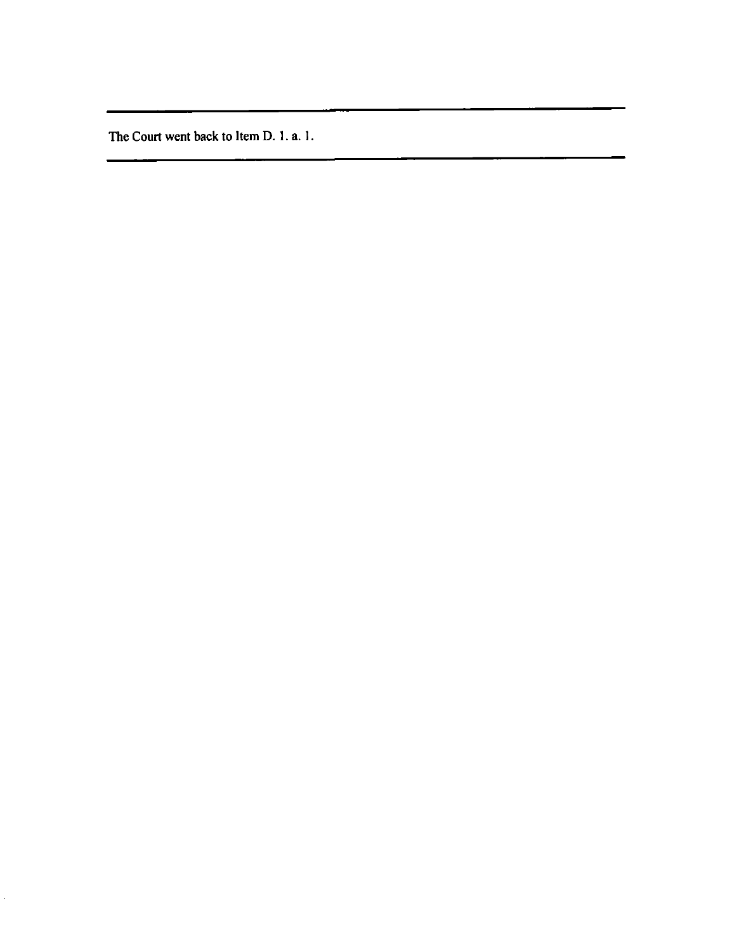The Court went back to Item D. 1. a. 1.

 $\hat{\mathcal{L}}$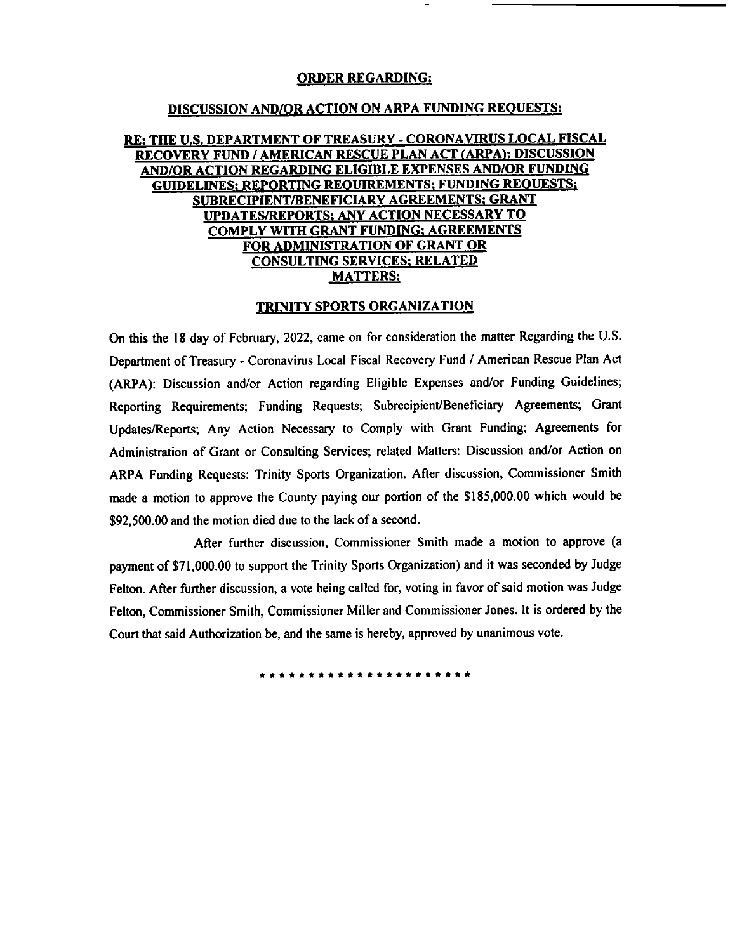#### ORDER REGARDING:

### DISCUSSION AND/OR ACTION ON ARPA FUNDING REQUESTS:

# 185,000 which would be 185,000 which would be 92,500. Recovers LOCAL FUNDING REGUESTS:<br>1956,000 meet PLAN TREASURY - CORONAVIRUS FISCAL ELISCAL REGARDING AND DISCUSSION AND DISCUSSION MOTION AND MOTION DUE TO A MOTION ACT **AND/OR ACTION ON ARPA FUNDING REQUESTS:**<br>E: THE U.S. DEPARTMENT OF TREASURY - CORONAVIRUS LOCAL FISCAL<br>RECOVERY FUND / AMERICAN RESCUE PLAN ACT (ARPA): DISCUSSION<br>AND/OR ACTION REGARDING ELIGIBLE EXPENSES AND/OR FUNDING<br>C **DISCUSSION AND/OR ACTION ON ARPA FUNDING REQUESTS:<br>
THE U.S. DEPARTMENT OF TREASURY - CORONAVIRUS LOCAL FISCAL<br>
RECOVERY FUND / AMERICAN RESCUE PLAN ACT (ARPA): DISCUSSION<br>
AND/OR ACTION REGARDING ELIGIBLE EXPENSES AND/OR** THE U.S. DEPARTMENT OF TREASURY - CORONAVIRUS LOCAL FIS<br>COVERY FUND / AMERICAN RESCUE PLAN ACT (ARPA): DISCUSSI<br>ND/OR ACTION REGARDING ELIGIBLE EXPENSES AND/OR FUNDIN<br>GUIDELINES; REPORTING REQUIREMENTS; FUNDING REQUESTS;<br>S EXAMPLE U.S. DEPARTMENT OF TREASURY - CORONAVIRUS LOCAL IS ARE COVERY FUND / AMERICAN RESCUE PLAN ACT (ARPA): DISCUST AND AND CUIDE LINES; REPORTING REQUIREMENTS; FUNDING REQUESTS SUBRECIPIENT (BEREFICIARY AGREEMENTS; GRAN <u>SUBRECIPIENT/BENEFICIARY AGREEMENTS; GRANT<br>UPDATES/REPORTS; ANY ACTION NECESSARY TO</u><br>COMPLY WITH GRANT FUNDING; AGREEMENTS **SUBRECIPIENT/BENEFICIARY AGREEMENTS; GRANT COMPLY WITH GRANT FUNDING; AGREEMENTS; GRANT COMPLY WITH GRANT FUNDING; AGREEMENTS**<br> **COMPLY WITH GRANT FUNDING; AGREEMENTS**<br> **COMPLY WITH GRANT FUNDING; AGREEMENTS**<br>
CONSULTING

### TRINITY SPORTS ORGANIZATION

SMITH, COMMISSIONER AND TRINITY SPORTS ORGANIZATION<br>
On this the 18 day of February, 2022, came on for consideration the matter Regarding the U.S.<br>
Department of Treasury - Coronavirus Local Fiscal Recovery Fund / American Department of Treasury - Coronavirus Local Fiscal Recovery Fund / American Rescue Plan Act (ARPA): Discussion and/or Action regarding Eligible Expenses and/or Funding Guidelines; rting Requirements; Funding Requests; Subrecipient/Beneficiary Agreements; Grant<br>tes/Reports; Any Action Necessary to Comply with Grant Funding; Agreements for<br>inistration of Grant or Consulting Services: related Matters: Administration of Grant or Consulting Services; related Matters: Discussion and/or Action on ARPA Funding Requests: Trinity Sports Organization. After discussion, Commissioner Smith made a motion to approve the County paying our portion of the \$185,000.00 which would be \$92,500.00 and the motion died due to the lack of a second.<br>After further discussion, Commissioner Smith made a motion to approve (a **EXERCABING:**<br>
<u>INDER ACTION ON ARPA FUNDING REQUESTS:</u><br>
<u>INDERIGNATION OR THE ASILITY - CORONAVIRUS LOCAL FISCAL<br>
<u>INDERIGNATION CONDITION EXCLUSIONS CONDITIONS CONDITIONS CONDITIONS<br>
EXCLUSION CONDITIONS AGRIFAMENTS: COR</u></u>

payment of \$71,000.00 to support the Trinity Sports Organization) and it was seconded by Judge Felton. After further discussion, a vote being called for, voting in favor of said motion was Judge Felton, Commissioner Smith, Commissioner Miller and Commissioner Jones. It is ordered by the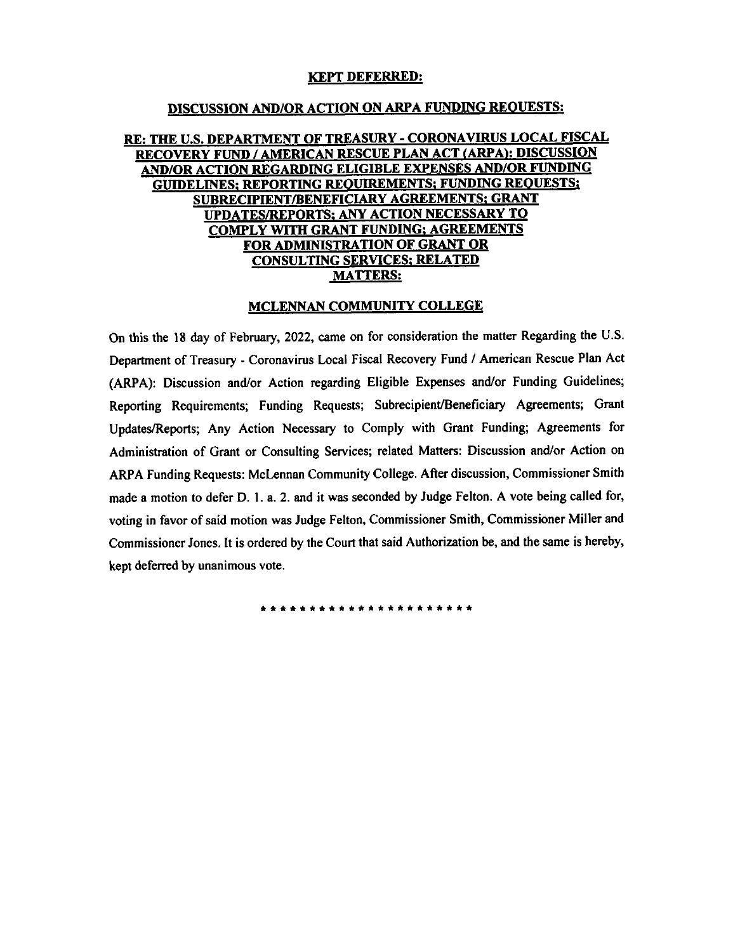### KEPT DEFERRED:

### DISCUSSION AND/OR ACTION ON ARPA FUNDING REQUESTS:

# **RE: THE U.S. DEPARTMENT OF TREASURY - CORONAVIRUS LOCAL FISCAL<br>RECOVERY FUND / AMERICAN RESCUE PLAN ACT (ARPA): DISCUSSION RE: THE U.S. DEPARTMENT OF TREASURY - CORONAVIRUS LOCAL FISC.<br>
RECOVERY FUND / AMERICAN RESCUE PLAN ACT (ARPA): DISCUSSION<br>AND/OR ACTION REGARDING ELIGIBLE EXPENSES AND/OR FUNDING<br>
GUIDELINES; REPORTING REQUIREMENTS; GRAN** GUIDELINES; REPORTING REQUIREMENTS; FUNDING REQUIREMENTS; GRAN<br>UPDATES/REPORTS; ANY ACTION NECESSARY TO<br>COMPLY WITH GRANT FUNDING; AGREEMENTS<br>FOR ADMINISTRATION OF GRANT OR UPDATES/REPORTS; ANY ACTION NECESSARY TO<br>COMPLY WITH GRANT FUNDING; AGREEMENTS<br>FOR ADMINISTRATION OF GRANT OR<br>CONSULTING SERVICES; RELATED<br>MATTERS: CONSULTING SERVICES; RELATED **COMPLY WITH GRANT FUNDING; AGREE<br>
FOR ADMINISTRATION OF GRANT OF CONSULTING SERVICES; RELATED<br>
MATTERS:**<br>
MCLENNAN COMMUNITY COLLEGI

**MCLENNAN COMMUNITY COLLEGE**<br>On this the 18 day of February, 2022, came on for consideration the matter Regarding the U.S. On this the 18 day of February, 2022, came on for consideration the matter Regarding the U.S.<br>Department of Treasury - Coronavirus Local Fiscal Recovery Fund / American Rescue Plan Act Department of Treasury - Coronavirus Local Fiscal Recovery Fund / American Rescue Plan Action<br>ARPA): Discussion and/or Action regarding Eligible Expenses and/or Funding Guideline Department of Treasury - Coronavirus Local Fiscal Recovery Fund / American Rescue Plan Act<br>(ARPA): Discussion and/or Action regarding Eligible Expenses and/or Funding Guidelines;<br>Reporting Requirements; Funding Requests; S Reporting Requirements; Funding Requests; Subrecipient/Beneficiary Agreements; Grant<br>Updates/Reports; Any Action Necessary to Comply with Grant Funding; Agreements for<br>Administration of Grant or Consulting Services; relate Updates/Reports; Any Action Necessary to Comply with Grant Funding; Agreements for Administration of Grant or Consulting Services; related Matters: Discussion and/or Action on ARPA Funding Requests: McLennan Community Coll voting in favor of said motion was Judge Felton, Commissioner Smith, Commissioner Miller and Commissioner Jones. It is ordered by the Court that said Authorization be, and the same is hereby, kept deferred by unanimous vote.

\*\*\*\*\*\*\*\*\*\*\*\*\*\*\*\*\*\*\*\*\*\*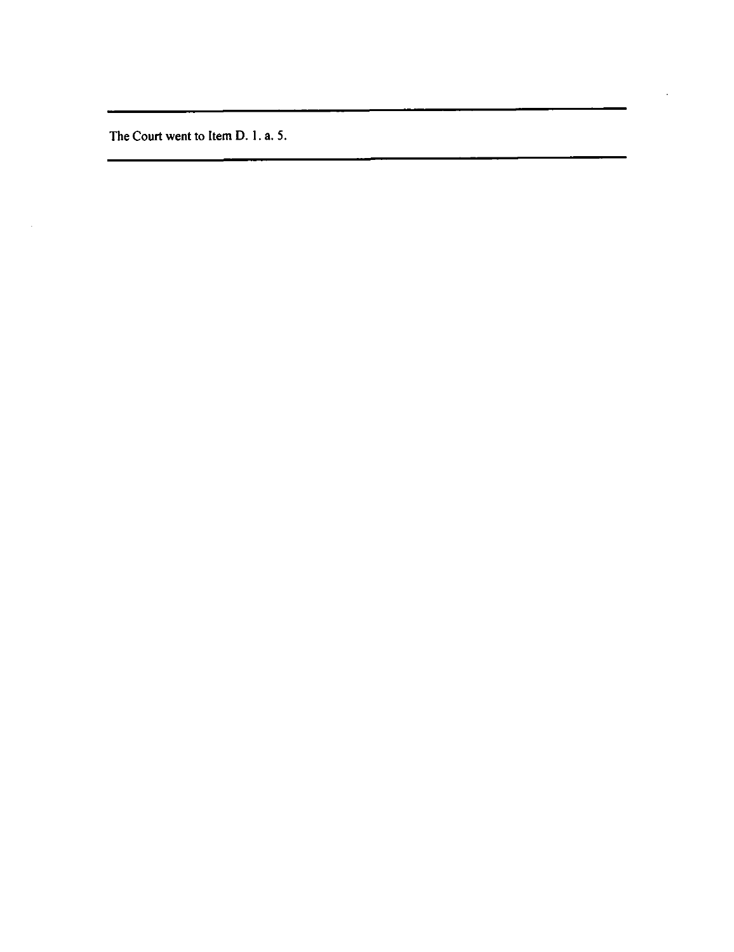The Court went to Item D. 1. a. 5.

 $\mathcal{A}^{\mathcal{A}}$ 

The Court went

t<del>o Itema di Sen</del> D.l.a.

 $\ddot{\phantom{a}}$ 

and the company of the company

5.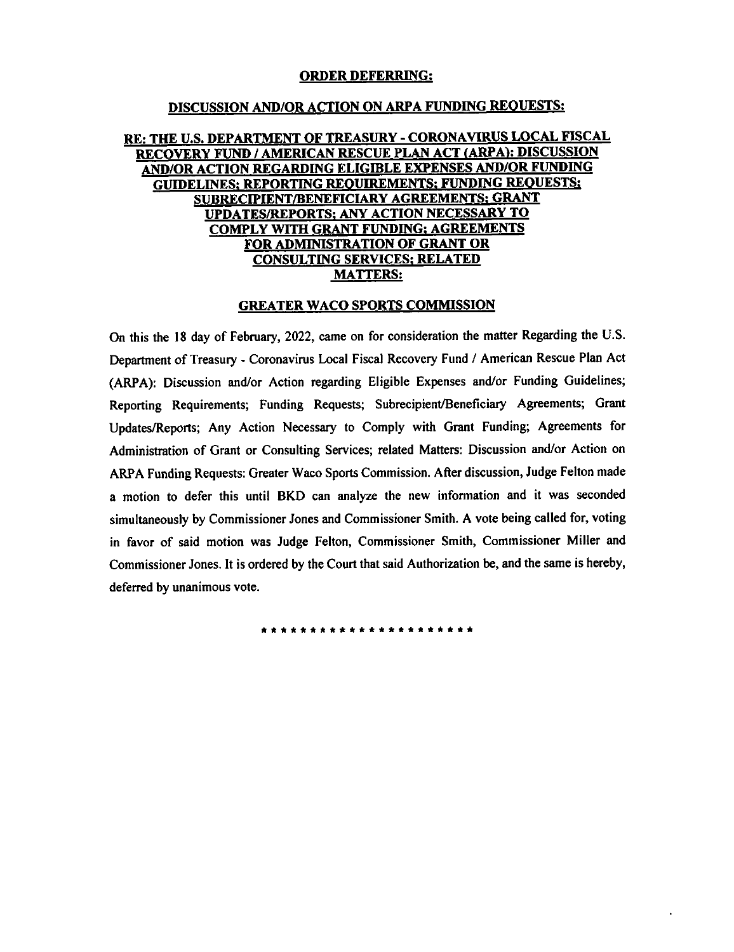### **ORDER DEFERRING:**

#### DISCUSSION AND/OR DISCUSSION AND/OR ACTION ON ARPA FUNDING REQUESTS:

### RE: THE U.S. DEPARTMENT OF TREASURY - CORONAVIRUS LOCAL FISCAL RECOVERY FUND / AMERICAN RESCUE PLAN ACT (ARPA): DISCUSSION AND/OR ACTION REGARDING ELIGIBLE EXPENSES AND/OR FUNDING<br>GUIDELINES: REPORTING REQUIREMENTS; FUNDING REQUESTS; <u>GUIDELINES; REPORTING REQUIREMENTS; PUNDING REQUESTS;</u><br>SUBRECIPIENT/BENEFICIARY AGREEMENTS; GRANT<br>UPDATES/REPORTS; ANY ACTION NECESSARY TO<br>COMPLY WITH GRANT FUNDING: AGREEMENTS AND/OR FUNDING GUIDELINES; REPORTING REOUIREMENTS; FUNDING REQUESTS; SUBRECIPIENT/ BENEFICIARY AGREEMENTS; GRANT UPDATES/ REPORTS; ANY ACTION NECESSARY TO COMPLY WITH GRANT SUBRECIPIENT/BENEFICIARY AGREEMENTS; GRANT<br>TIPLATES/DEPODTS: ANY ACTION NECESSARY TO of <u>the Subr</u><br>Treasury 20<br>Co FOR ADMINISTRATION OF GRANT OR CONSULTING SERVICES; RELATED **MATTERS:**

### GREATER WACO SPORTS COMMISSION

On this the 18 day of February, 2022, came on for consideration the matter Regarding the U.S. Department of Treasury - Coronavirus Local Fiscal Recovery Fund / American Rescue Plan Act (ARPA): Discussion and/or Action regarding Eligible Expenses and/or Funding Guidelines; Reporting Requirements; Funding Requests; Subrecipient/Beneficiary Agreements; Grant<br>Updates/Reports; Any Action Necessary to Comply with Grant Funding; Agreements for Administration of Grant or Consulting Services; related Matters: Discussion and/or Action on ARPA Funding Requests: Greater Waco Sports Commission. After discussion, Judge Felton made<br>a motion to defer this until BKD can analyze the new information and it was seconded of the model of the motion<br>and Commissioner St Judge Felton, Commissioner Smith, Commissioner in favor of said motion was Judge Felton, Commissioner Smith, Commissioner Miller and Commissioner Jones. It is ordered by the Court that said Authorization be, and the same is hereby, deferred by unanimous vote.

same is hereby, deferred by understanding the set of the set of the set of the set of the set of the set of th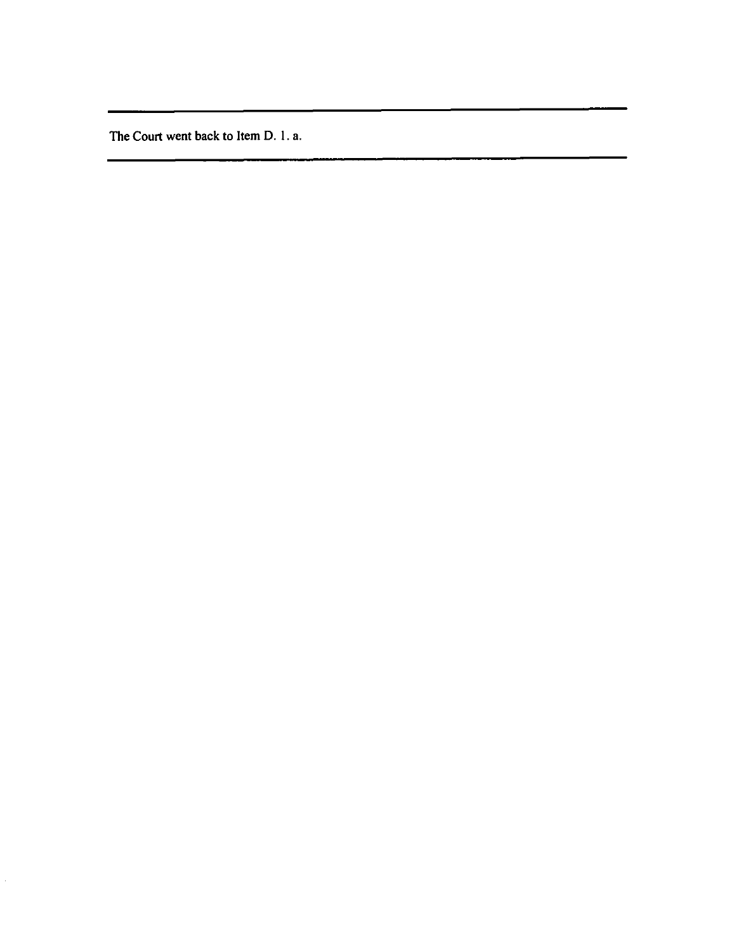The Court went back to Item D. 1. a.

 $\hat{\mathcal{L}}$ 

D.1.a.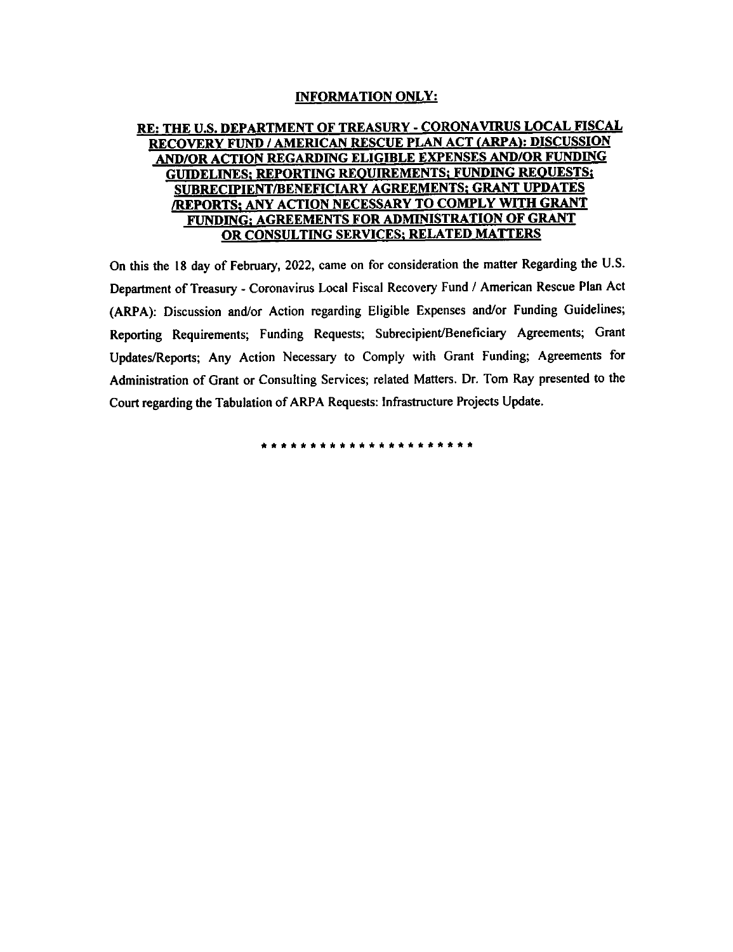# <u>ORMATION ON</u><br>OF TREASIRY <sub>'</sub>

### **RE: THE U.S. DEPARTMENT OF TREASURE: THE U.S. DEPARTMENT OF TREASURE:**<br>AND/OR ACTION REGARDING EL RECOVERY FUND / AMERICAN RESCUE PLAN ACT (ARPA): DISCUSSION AND/OR ACTION REGARDING ELIGIBLE EXPENSES AND/OR FUNDING : REQUIRE **AND/OR ACTION REGARDING ELIGIBLE EXPENSES AND/OR FUNDING ACTION REGARDING ELIGIBLE EXPENSES AND/OR FUNDING REQUIREMENTS; FUNDING REQUIREMENTS; GRANT UPDA REPORTS; ANY ACTION NECESSARY TO COMPLY WITH GREEMENTS; FUNDING A C** FUNDING; AGREEMENTS FOR ADMINISTRATION OF GRANT ACTION NECESSARY TO COMPLY WITH GRANT FUNDING; AGREEMENTS FOR AGREEMENTS FOR AGREEMENTS FOR AGREEMENTS FOR AGR<br>The complete state of the complete state of the complete state of the complete state of the complete state of

 $\Lambda$  ADMINISTRATION OF GRANT ORDER OR CONSULTING SERVICES; RELATION  $\Lambda$  $\mu$  is the February, 2022, called by consideration the matter regard. tment of Treasury - Coronavirus Local Fiscal Recovery Fund /  $\ell$ Coronavirus Local Fiscal Recovery Fund / American Rescue Plan Act ARPA): Discussion and/ or (ARPA): Discussion and/or Action regarding Eligible Expenses and/or Funding Guidelines; Reporting Requirements; Funding Requests; Subrecipient/Beneficiary Agreements; Grant Updates/Reports; Any Action Necessary to Comply with Grant Funding; Agreements for Administration of Grant or Consulting Services; related Matters. Dr. Tom Ray presented to the Court regarding the Tabulation of ARPA Requests: Infrastructure Projects Update.

\*\*\*\*\*\*\*\*\*\*\*\*\*\*\*\*\*\*\*\*\*\*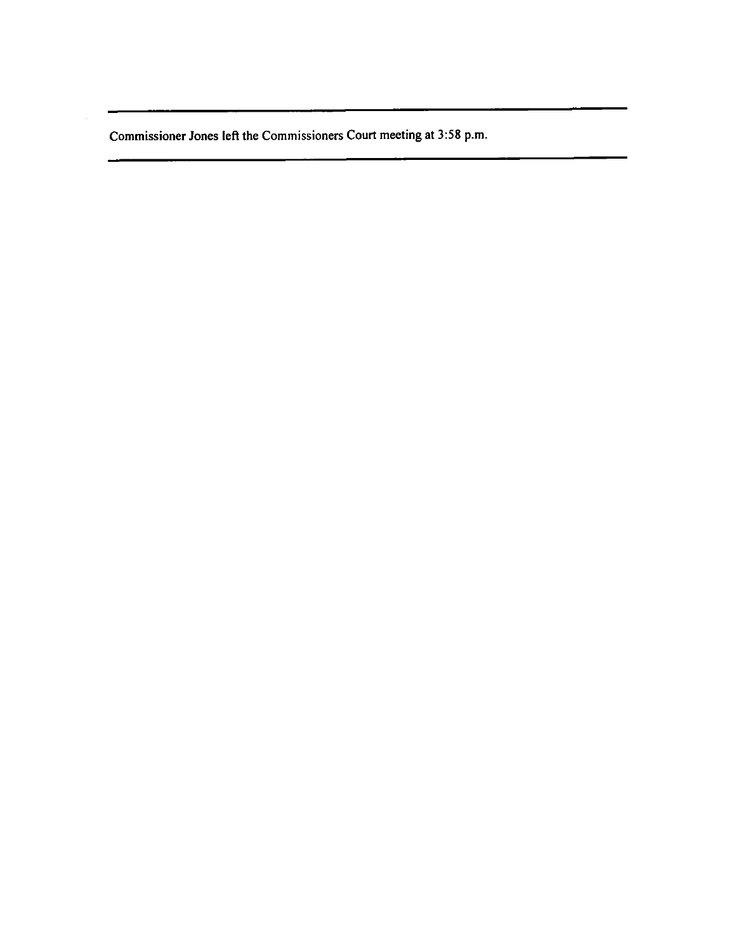Commissioner Jones left the Commissioners Court meeting at 3:58 p.m.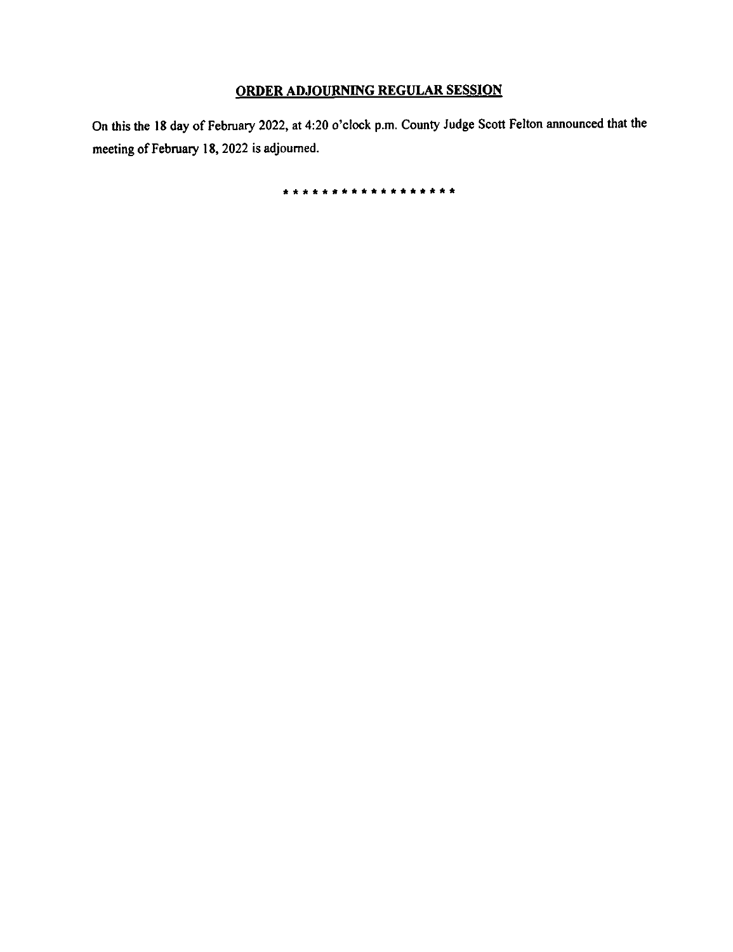### **ADJOURNING BEGULAR** <u><br>ORDER ADJOURNING REGULAR SESSIO</u>

OURNING REGUI<br>:20 o'clock p.m. Co On this the 18 day of<br>meeting of February  $2$ , at 4:20 o'clock p.m. County Judge Scott Felton announced that the bourned.

18,2022 is adjourned.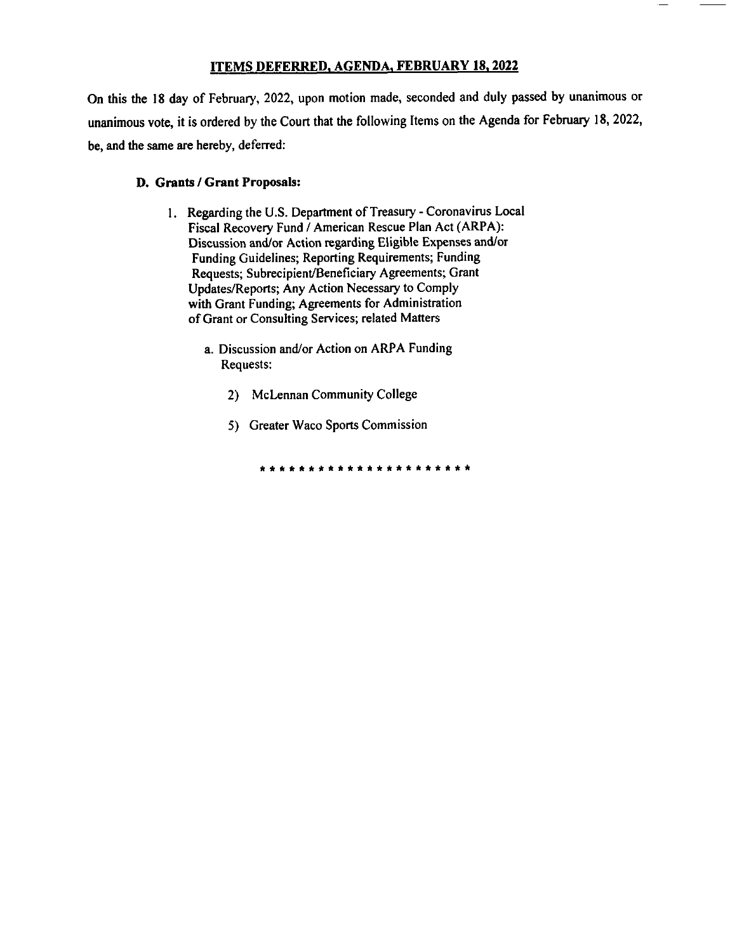### **ITEMS DEFERRED, AGENDA, FEBRUARY 18, 2022**

In this the 18 day of February, 2022, upon motion made, seconded and duly passed by u the  $18$ for Administration of Grant or Consulting Services; related Matters a. Discussion and/ or Action on ARPA Funding Requests: 2) McLennan Community College unanimous vote, it is ordered by the Court that the following Items on the Agenda for February 18, 2022, be, and the same are hereby, deferred:

### D. Grants / Grant Proposals:

- 1. Regarding the U.S. Department of Treasury Coronavirus Local Fiscal Recovery Fund / American Rescue Plan Act (ARPA): Discussion and/or Action regarding Eligible Expenses and/or Funding Guidelines; Reporting Requirements; Funding Requests; Subrecipient/Beneficiary Agreements; Grant Updates/Reports; Any Action Necessary to Comply with Grant Funding; Agreements for Administration of Grant or Consulting Services; related Matters
	- a. Discussion and/or Action on ARPA Funding Requests:
		- 2) McLennan Community College
		- 5) Greater Waco Sports Commission